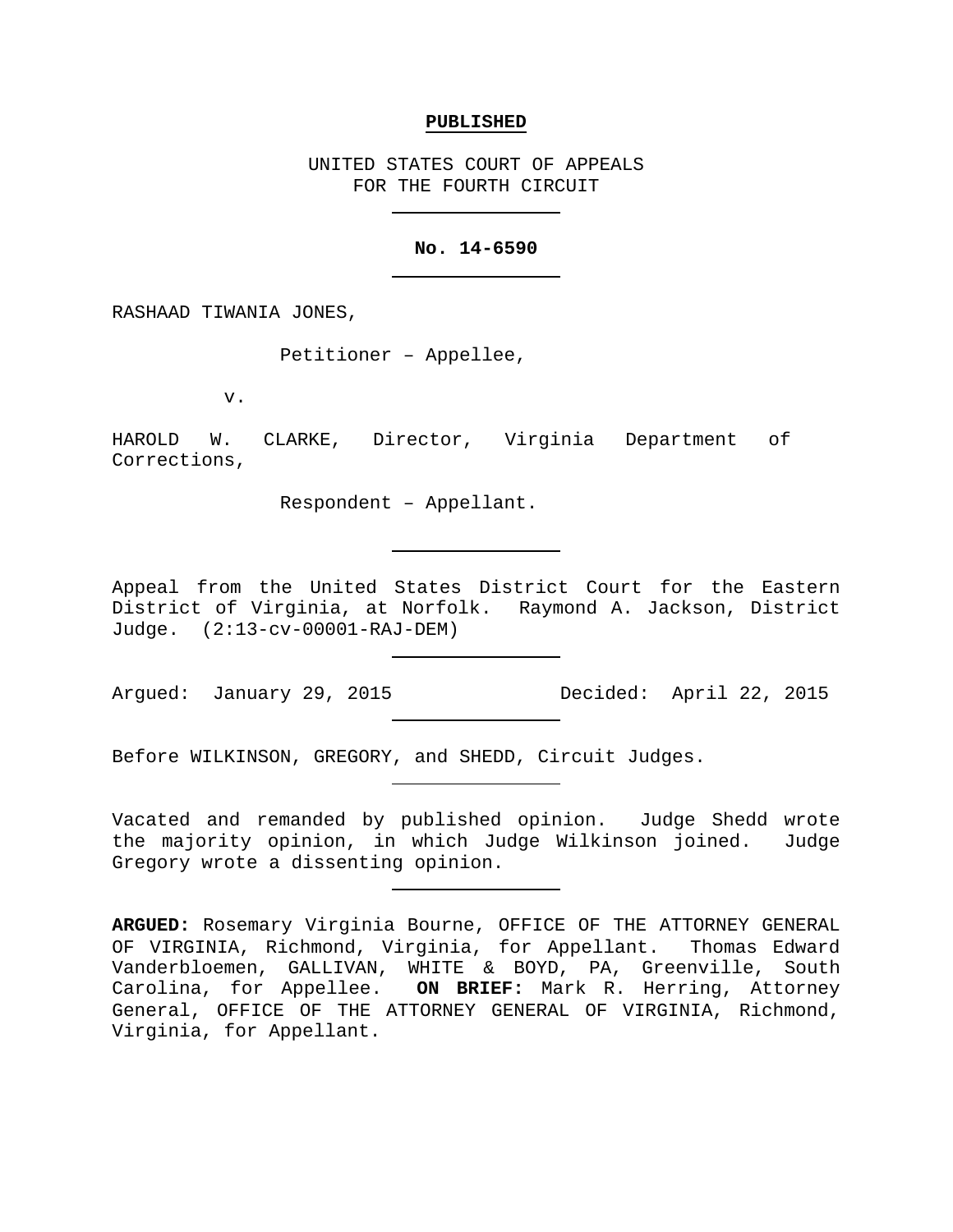### **PUBLISHED**

UNITED STATES COURT OF APPEALS FOR THE FOURTH CIRCUIT

### **No. 14-6590**

RASHAAD TIWANIA JONES,

Petitioner – Appellee,

v.

HAROLD W. CLARKE, Director, Virginia Department of Corrections,

Respondent – Appellant.

Appeal from the United States District Court for the Eastern District of Virginia, at Norfolk. Raymond A. Jackson, District Judge. (2:13-cv-00001-RAJ-DEM)

Argued: January 29, 2015 Decided: April 22, 2015

Before WILKINSON, GREGORY, and SHEDD, Circuit Judges.

Vacated and remanded by published opinion. Judge Shedd wrote the majority opinion, in which Judge Wilkinson joined. Judge Gregory wrote a dissenting opinion.

**ARGUED:** Rosemary Virginia Bourne, OFFICE OF THE ATTORNEY GENERAL OF VIRGINIA, Richmond, Virginia, for Appellant. Thomas Edward Vanderbloemen, GALLIVAN, WHITE & BOYD, PA, Greenville, South Carolina, for Appellee. **ON BRIEF:** Mark R. Herring, Attorney General, OFFICE OF THE ATTORNEY GENERAL OF VIRGINIA, Richmond, Virginia, for Appellant.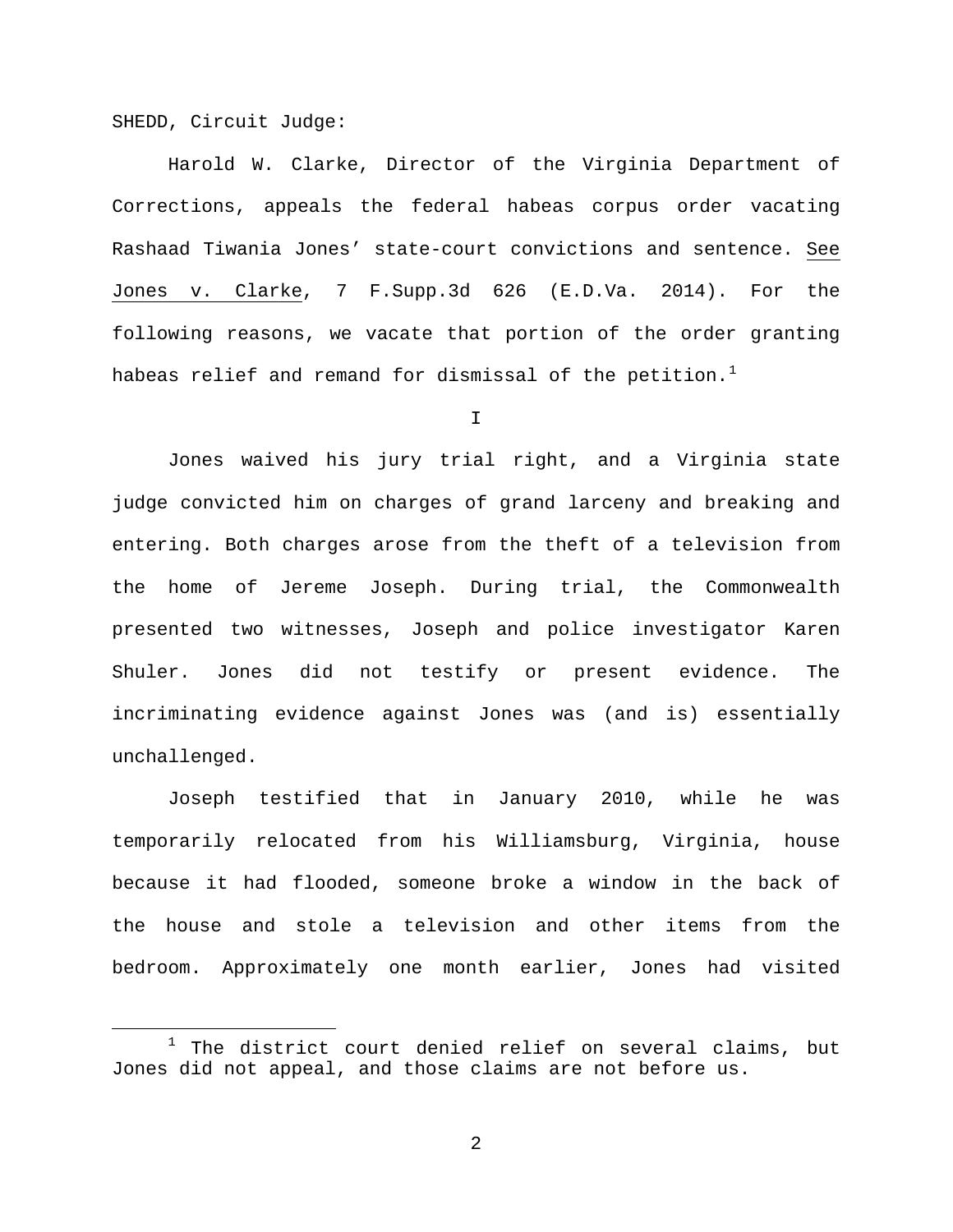SHEDD, Circuit Judge:

Harold W. Clarke, Director of the Virginia Department of Corrections, appeals the federal habeas corpus order vacating Rashaad Tiwania Jones' state-court convictions and sentence. See Jones v. Clarke, 7 F.Supp.3d 626 (E.D.Va. 2014). For the following reasons, we vacate that portion of the order granting habeas relief and remand for dismissal of the petition.<sup>[1](#page-1-0)</sup>

I

Jones waived his jury trial right, and a Virginia state judge convicted him on charges of grand larceny and breaking and entering. Both charges arose from the theft of a television from the home of Jereme Joseph. During trial, the Commonwealth presented two witnesses, Joseph and police investigator Karen Shuler. Jones did not testify or present evidence. The incriminating evidence against Jones was (and is) essentially unchallenged.

Joseph testified that in January 2010, while he was temporarily relocated from his Williamsburg, Virginia, house because it had flooded, someone broke a window in the back of the house and stole a television and other items from the bedroom. Approximately one month earlier, Jones had visited

<span id="page-1-0"></span> $1$  The district court denied relief on several claims, but Jones did not appeal, and those claims are not before us.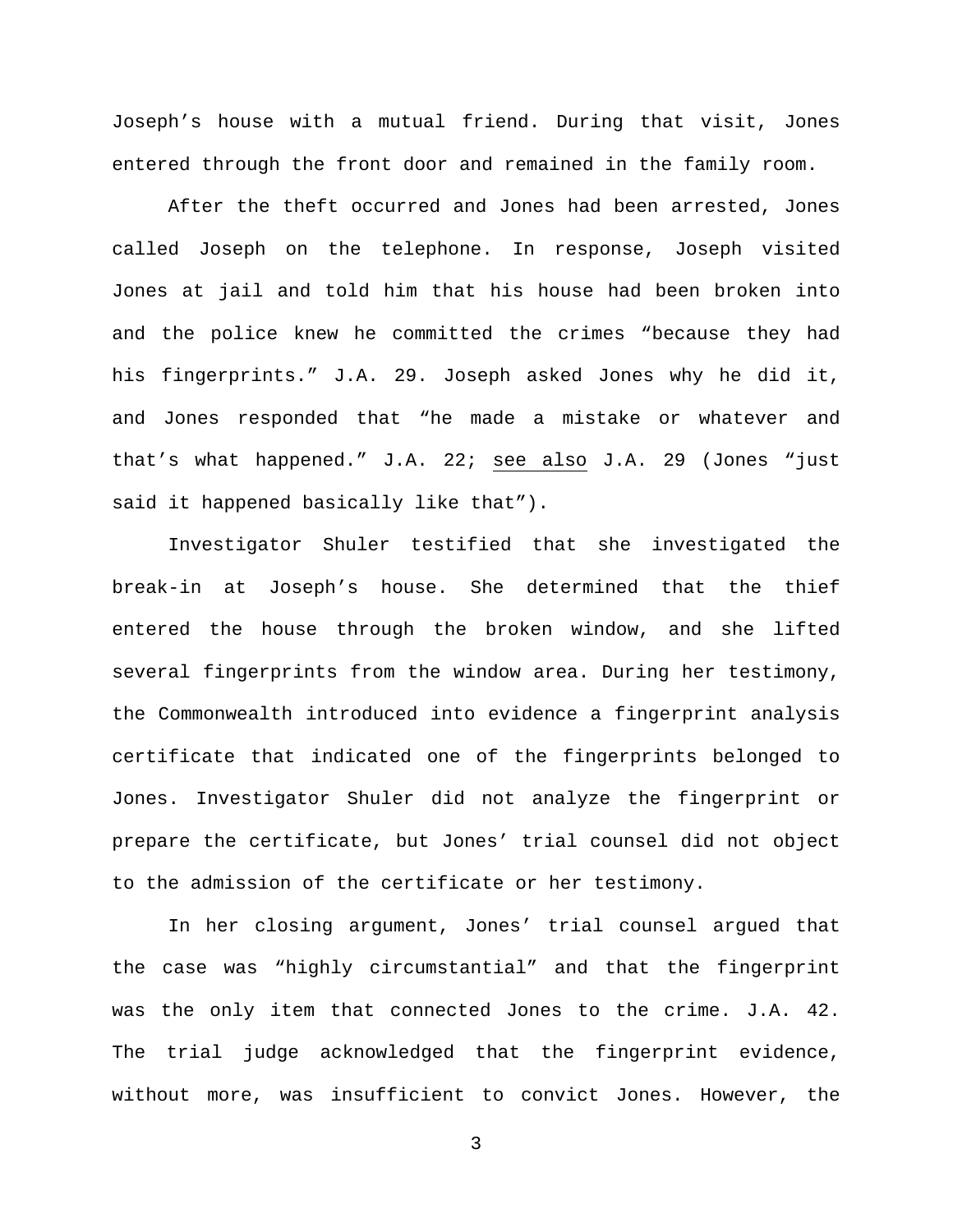Joseph's house with a mutual friend. During that visit, Jones entered through the front door and remained in the family room.

After the theft occurred and Jones had been arrested, Jones called Joseph on the telephone. In response, Joseph visited Jones at jail and told him that his house had been broken into and the police knew he committed the crimes "because they had his fingerprints." J.A. 29. Joseph asked Jones why he did it, and Jones responded that "he made a mistake or whatever and that's what happened." J.A. 22; see also J.A. 29 (Jones "just said it happened basically like that").

Investigator Shuler testified that she investigated the break-in at Joseph's house. She determined that the thief entered the house through the broken window, and she lifted several fingerprints from the window area. During her testimony, the Commonwealth introduced into evidence a fingerprint analysis certificate that indicated one of the fingerprints belonged to Jones. Investigator Shuler did not analyze the fingerprint or prepare the certificate, but Jones' trial counsel did not object to the admission of the certificate or her testimony.

In her closing argument, Jones' trial counsel argued that the case was "highly circumstantial" and that the fingerprint was the only item that connected Jones to the crime. J.A. 42. The trial judge acknowledged that the fingerprint evidence, without more, was insufficient to convict Jones. However, the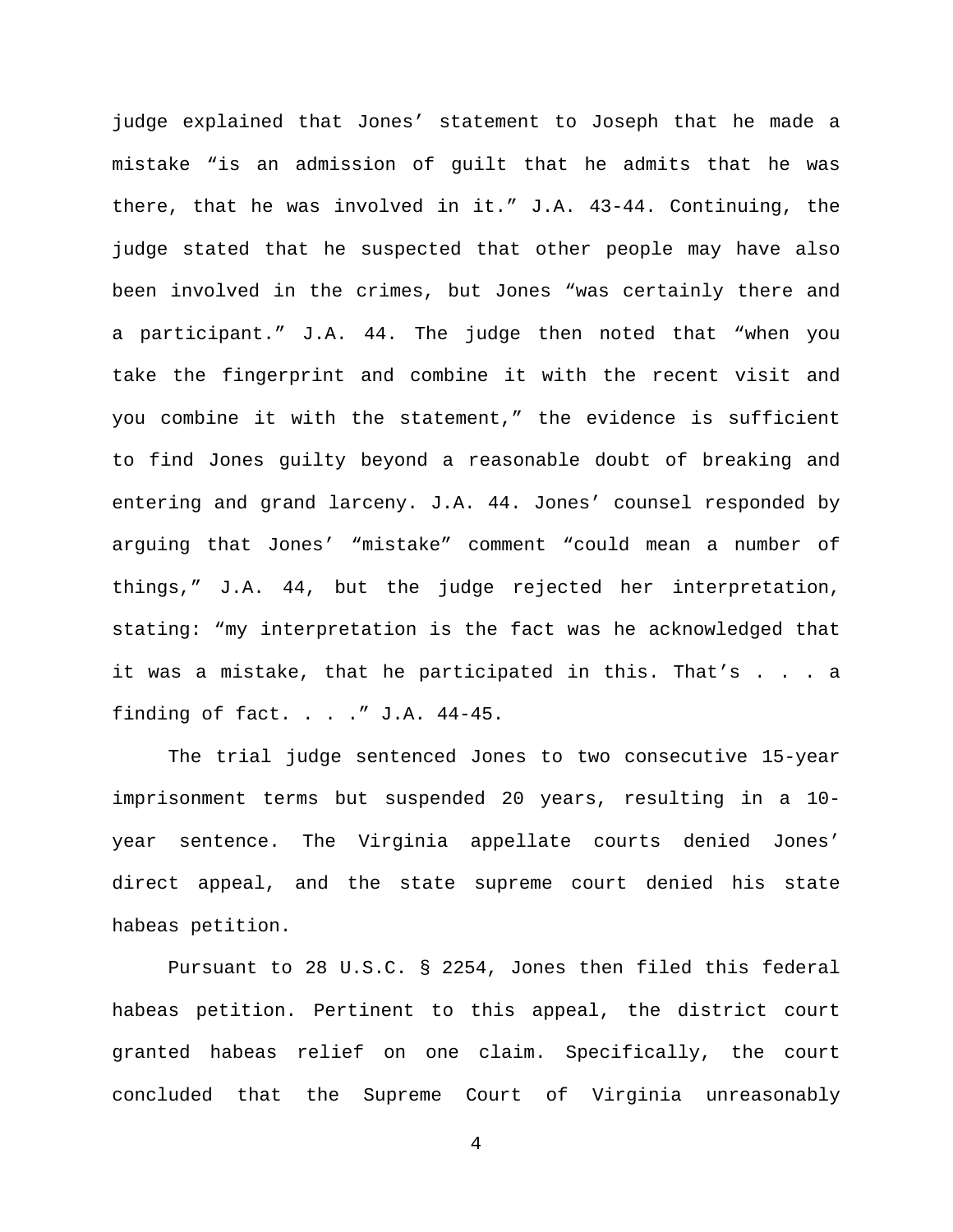judge explained that Jones' statement to Joseph that he made a mistake "is an admission of guilt that he admits that he was there, that he was involved in it." J.A. 43-44. Continuing, the judge stated that he suspected that other people may have also been involved in the crimes, but Jones "was certainly there and a participant." J.A. 44. The judge then noted that "when you take the fingerprint and combine it with the recent visit and you combine it with the statement," the evidence is sufficient to find Jones guilty beyond a reasonable doubt of breaking and entering and grand larceny. J.A. 44. Jones' counsel responded by arguing that Jones' "mistake" comment "could mean a number of things," J.A. 44, but the judge rejected her interpretation, stating: "my interpretation is the fact was he acknowledged that it was a mistake, that he participated in this. That's . . . a finding of fact. . . ." J.A. 44-45.

The trial judge sentenced Jones to two consecutive 15-year imprisonment terms but suspended 20 years, resulting in a 10 year sentence. The Virginia appellate courts denied Jones' direct appeal, and the state supreme court denied his state habeas petition.

Pursuant to 28 U.S.C. § 2254, Jones then filed this federal habeas petition. Pertinent to this appeal, the district court granted habeas relief on one claim. Specifically, the court concluded that the Supreme Court of Virginia unreasonably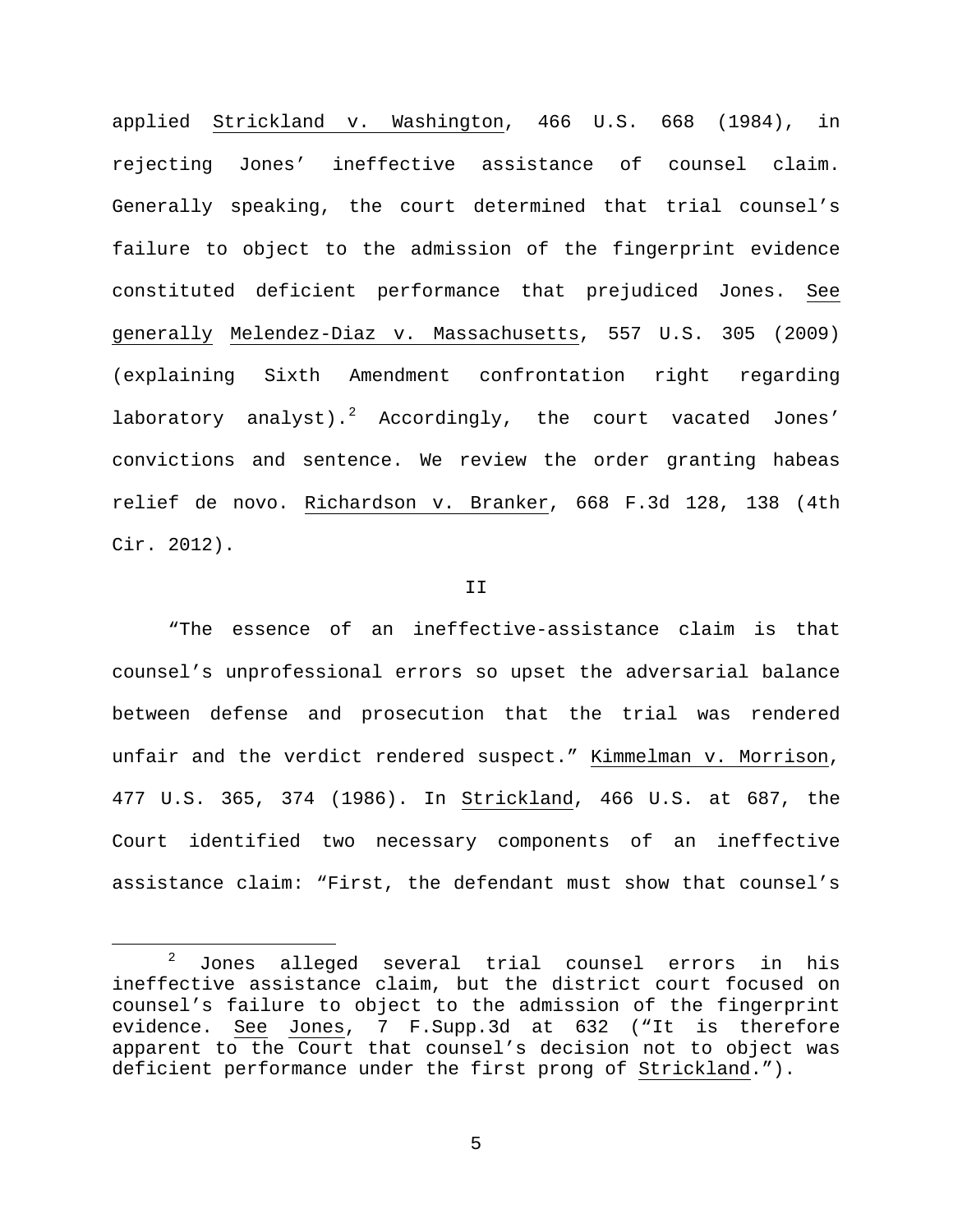applied Strickland v. Washington, 466 U.S. 668 (1984), in rejecting Jones' ineffective assistance of counsel claim. Generally speaking, the court determined that trial counsel's failure to object to the admission of the fingerprint evidence constituted deficient performance that prejudiced Jones. See generally Melendez-Diaz v. Massachusetts, 557 U.S. 305 (2009) (explaining Sixth Amendment confrontation right regarding laboratory analyst).<sup>[2](#page-4-0)</sup> Accordingly, the court vacated Jones' convictions and sentence. We review the order granting habeas relief de novo. Richardson v. Branker, 668 F.3d 128, 138 (4th Cir. 2012).

### II

"The essence of an ineffective-assistance claim is that counsel's unprofessional errors so upset the adversarial balance between defense and prosecution that the trial was rendered unfair and the verdict rendered suspect." Kimmelman v. Morrison, 477 U.S. 365, 374 (1986). In Strickland, 466 U.S. at 687, the Court identified two necessary components of an ineffective assistance claim: "First, the defendant must show that counsel's

<span id="page-4-0"></span> <sup>2</sup> Jones alleged several trial counsel errors in his ineffective assistance claim, but the district court focused on counsel's failure to object to the admission of the fingerprint evidence. See Jones, 7 F.Supp.3d at 632 ("It is therefore apparent to the Court that counsel's decision not to object was deficient performance under the first prong of Strickland.").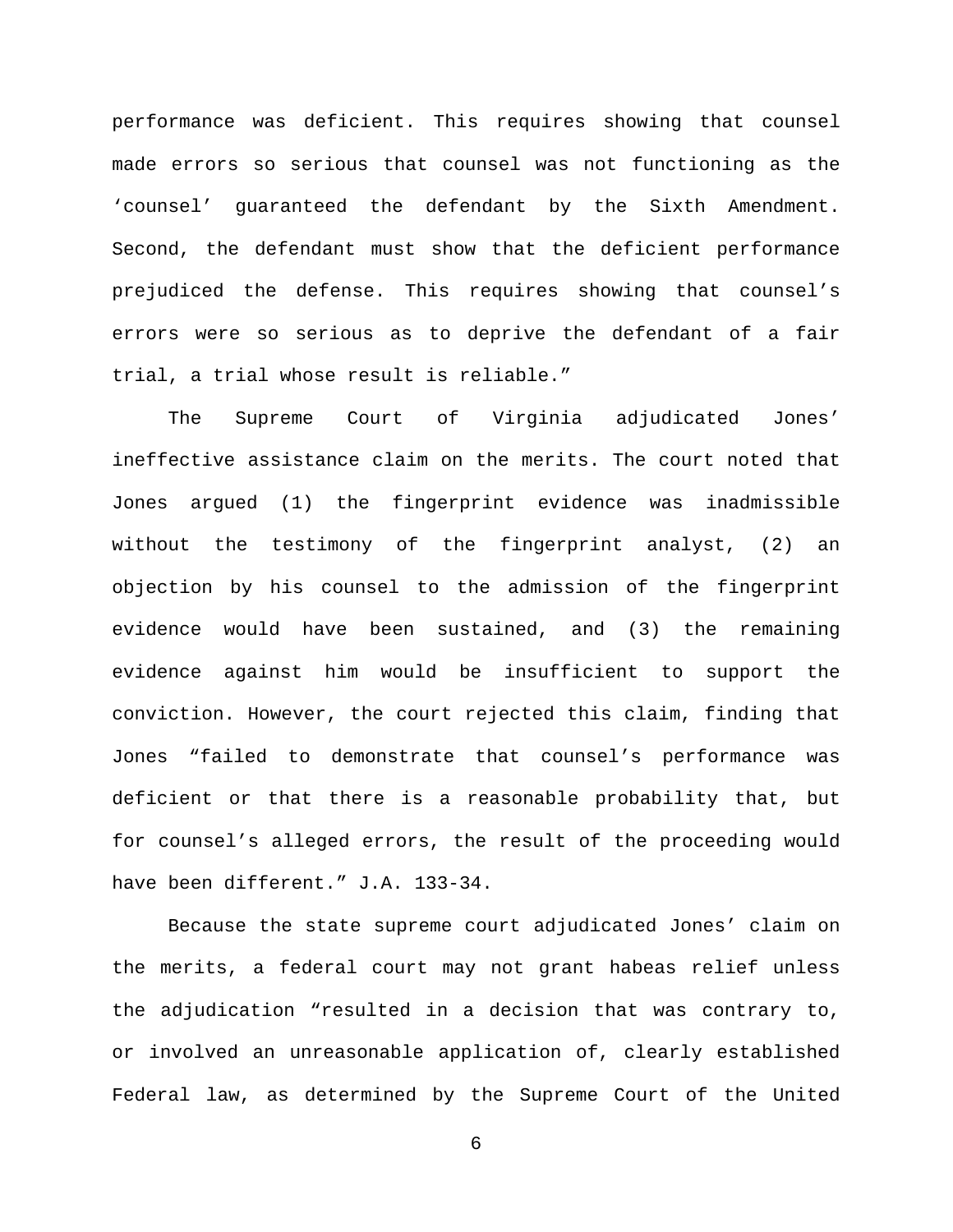performance was deficient. This requires showing that counsel made errors so serious that counsel was not functioning as the 'counsel' guaranteed the defendant by the Sixth Amendment. Second, the defendant must show that the deficient performance prejudiced the defense. This requires showing that counsel's errors were so serious as to deprive the defendant of a fair trial, a trial whose result is reliable."

The Supreme Court of Virginia adjudicated Jones' ineffective assistance claim on the merits. The court noted that Jones argued (1) the fingerprint evidence was inadmissible without the testimony of the fingerprint analyst, (2) an objection by his counsel to the admission of the fingerprint evidence would have been sustained, and (3) the remaining evidence against him would be insufficient to support the conviction. However, the court rejected this claim, finding that Jones "failed to demonstrate that counsel's performance was deficient or that there is a reasonable probability that, but for counsel's alleged errors, the result of the proceeding would have been different." J.A. 133-34.

Because the state supreme court adjudicated Jones' claim on the merits, a federal court may not grant habeas relief unless the adjudication "resulted in a decision that was contrary to, or involved an unreasonable application of, clearly established Federal law, as determined by the Supreme Court of the United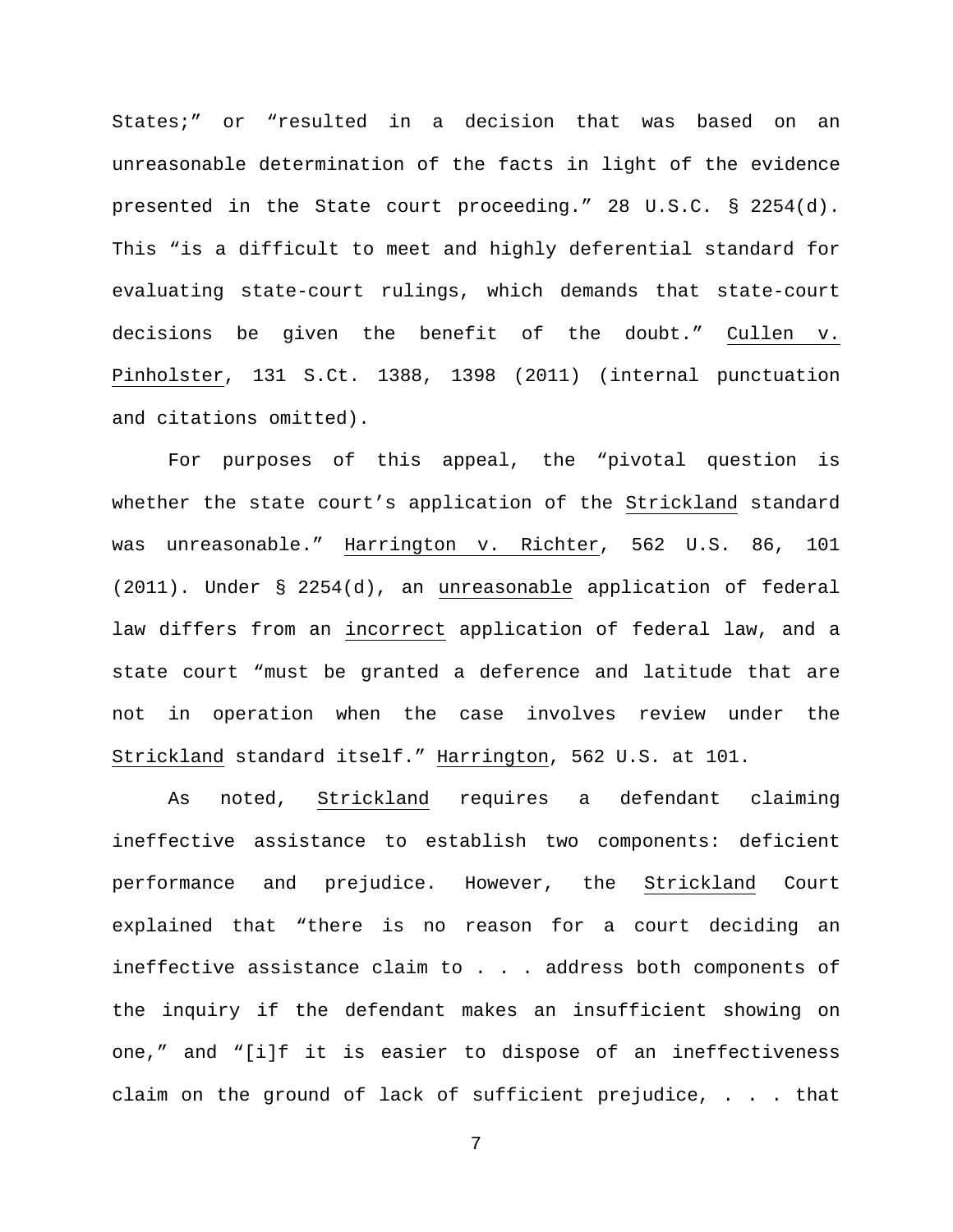States;" or "resulted in a decision that was based on an unreasonable determination of the facts in light of the evidence presented in the State court proceeding." 28 U.S.C. § 2254(d). This "is a difficult to meet and highly deferential standard for evaluating state-court rulings, which demands that state-court decisions be given the benefit of the doubt." Cullen v. Pinholster, 131 S.Ct. 1388, 1398 (2011) (internal punctuation and citations omitted).

For purposes of this appeal, the "pivotal question is whether the state court's application of the Strickland standard was unreasonable." Harrington v. Richter, 562 U.S. 86, 101 (2011). Under § 2254(d), an unreasonable application of federal law differs from an incorrect application of federal law, and a state court "must be granted a deference and latitude that are not in operation when the case involves review under the Strickland standard itself." Harrington, 562 U.S. at 101.

As noted, Strickland requires a defendant claiming ineffective assistance to establish two components: deficient performance and prejudice. However, the Strickland Court explained that "there is no reason for a court deciding an ineffective assistance claim to . . . address both components of the inquiry if the defendant makes an insufficient showing on one," and "[i]f it is easier to dispose of an ineffectiveness claim on the ground of lack of sufficient prejudice, . . . that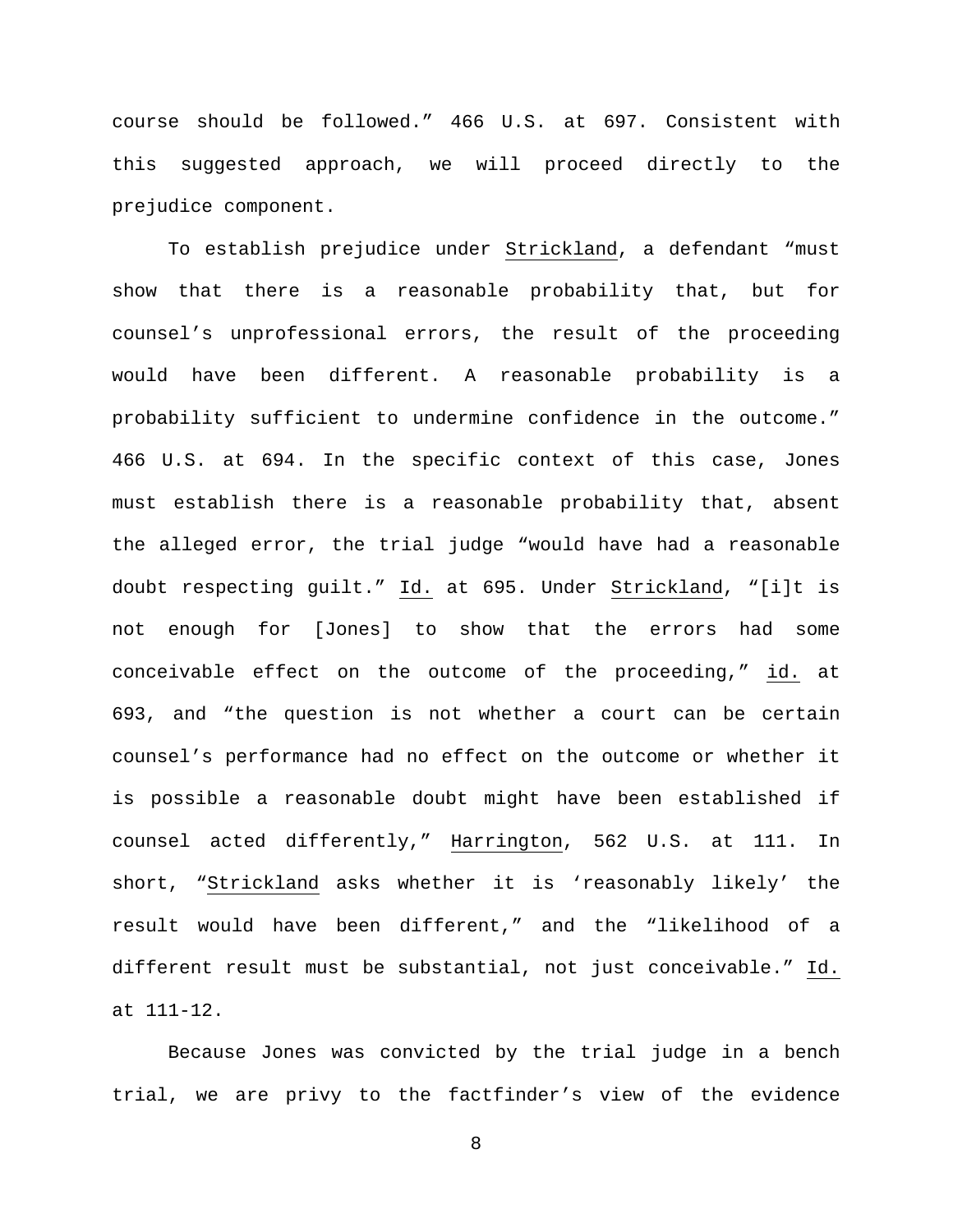course should be followed." 466 U.S. at 697. Consistent with this suggested approach, we will proceed directly to the prejudice component.

To establish prejudice under Strickland, a defendant "must show that there is a reasonable probability that, but for counsel's unprofessional errors, the result of the proceeding would have been different. A reasonable probability is a probability sufficient to undermine confidence in the outcome." 466 U.S. at 694. In the specific context of this case, Jones must establish there is a reasonable probability that, absent the alleged error, the trial judge "would have had a reasonable doubt respecting guilt." Id. at 695. Under Strickland, "[i]t is not enough for [Jones] to show that the errors had some conceivable effect on the outcome of the proceeding," id. at 693, and "the question is not whether a court can be certain counsel's performance had no effect on the outcome or whether it is possible a reasonable doubt might have been established if counsel acted differently," Harrington, 562 U.S. at 111. In short, "Strickland asks whether it is 'reasonably likely' the result would have been different," and the "likelihood of a different result must be substantial, not just conceivable." Id. at 111-12.

Because Jones was convicted by the trial judge in a bench trial, we are privy to the factfinder's view of the evidence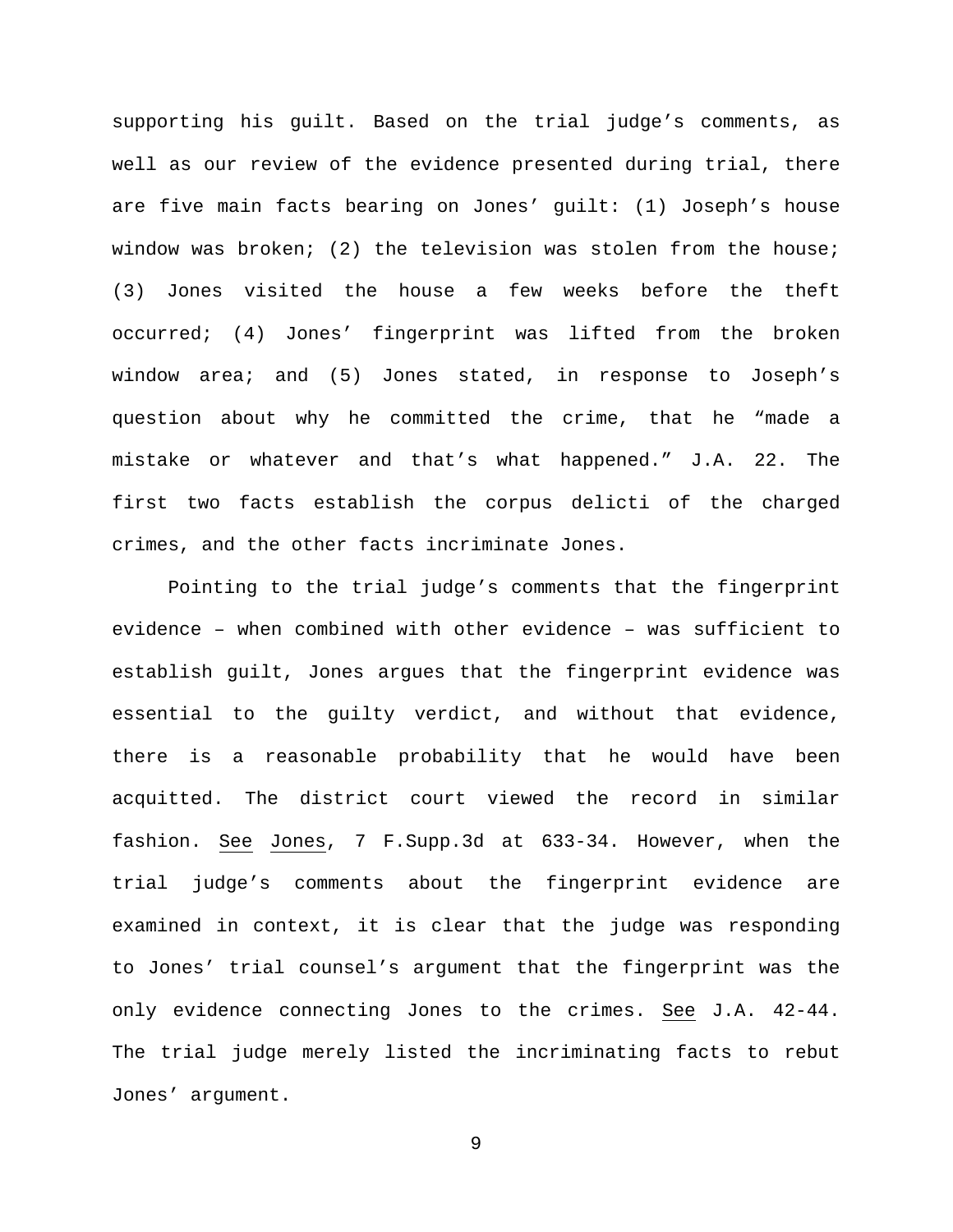supporting his guilt. Based on the trial judge's comments, as well as our review of the evidence presented during trial, there are five main facts bearing on Jones' guilt: (1) Joseph's house window was broken; (2) the television was stolen from the house; (3) Jones visited the house a few weeks before the theft occurred; (4) Jones' fingerprint was lifted from the broken window area; and (5) Jones stated, in response to Joseph's question about why he committed the crime, that he "made a mistake or whatever and that's what happened." J.A. 22. The first two facts establish the corpus delicti of the charged crimes, and the other facts incriminate Jones.

Pointing to the trial judge's comments that the fingerprint evidence – when combined with other evidence – was sufficient to establish guilt, Jones argues that the fingerprint evidence was essential to the guilty verdict, and without that evidence, there is a reasonable probability that he would have been acquitted. The district court viewed the record in similar fashion. See Jones, 7 F.Supp.3d at 633-34. However, when the trial judge's comments about the fingerprint evidence are examined in context, it is clear that the judge was responding to Jones' trial counsel's argument that the fingerprint was the only evidence connecting Jones to the crimes. See J.A. 42-44. The trial judge merely listed the incriminating facts to rebut Jones' argument.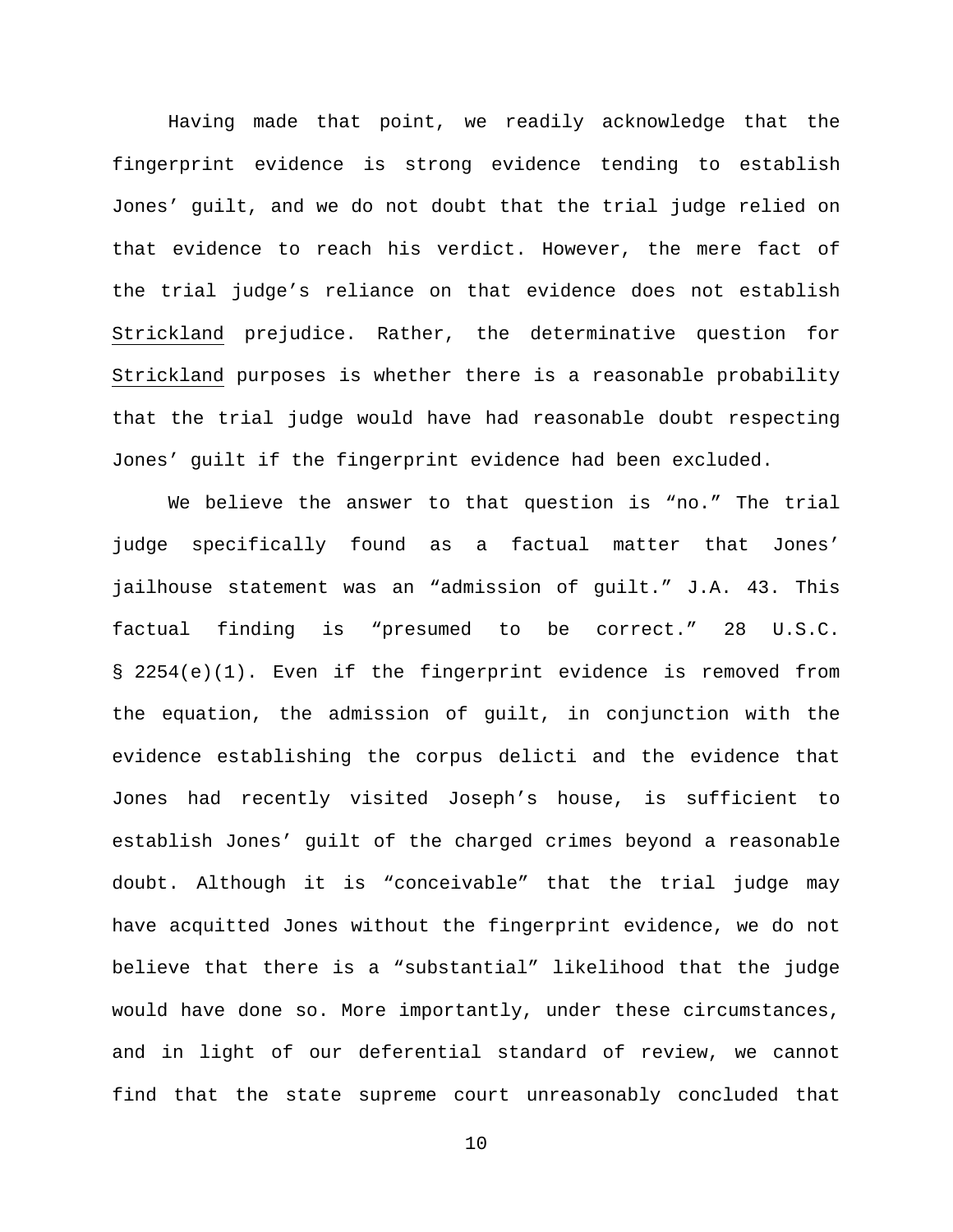Having made that point, we readily acknowledge that the fingerprint evidence is strong evidence tending to establish Jones' guilt, and we do not doubt that the trial judge relied on that evidence to reach his verdict. However, the mere fact of the trial judge's reliance on that evidence does not establish Strickland prejudice. Rather, the determinative question for Strickland purposes is whether there is a reasonable probability that the trial judge would have had reasonable doubt respecting Jones' guilt if the fingerprint evidence had been excluded.

We believe the answer to that question is "no." The trial judge specifically found as a factual matter that Jones' jailhouse statement was an "admission of guilt." J.A. 43. This factual finding is "presumed to be correct." 28 U.S.C. § 2254(e)(1). Even if the fingerprint evidence is removed from the equation, the admission of guilt, in conjunction with the evidence establishing the corpus delicti and the evidence that Jones had recently visited Joseph's house, is sufficient to establish Jones' guilt of the charged crimes beyond a reasonable doubt. Although it is "conceivable" that the trial judge may have acquitted Jones without the fingerprint evidence, we do not believe that there is a "substantial" likelihood that the judge would have done so. More importantly, under these circumstances, and in light of our deferential standard of review, we cannot find that the state supreme court unreasonably concluded that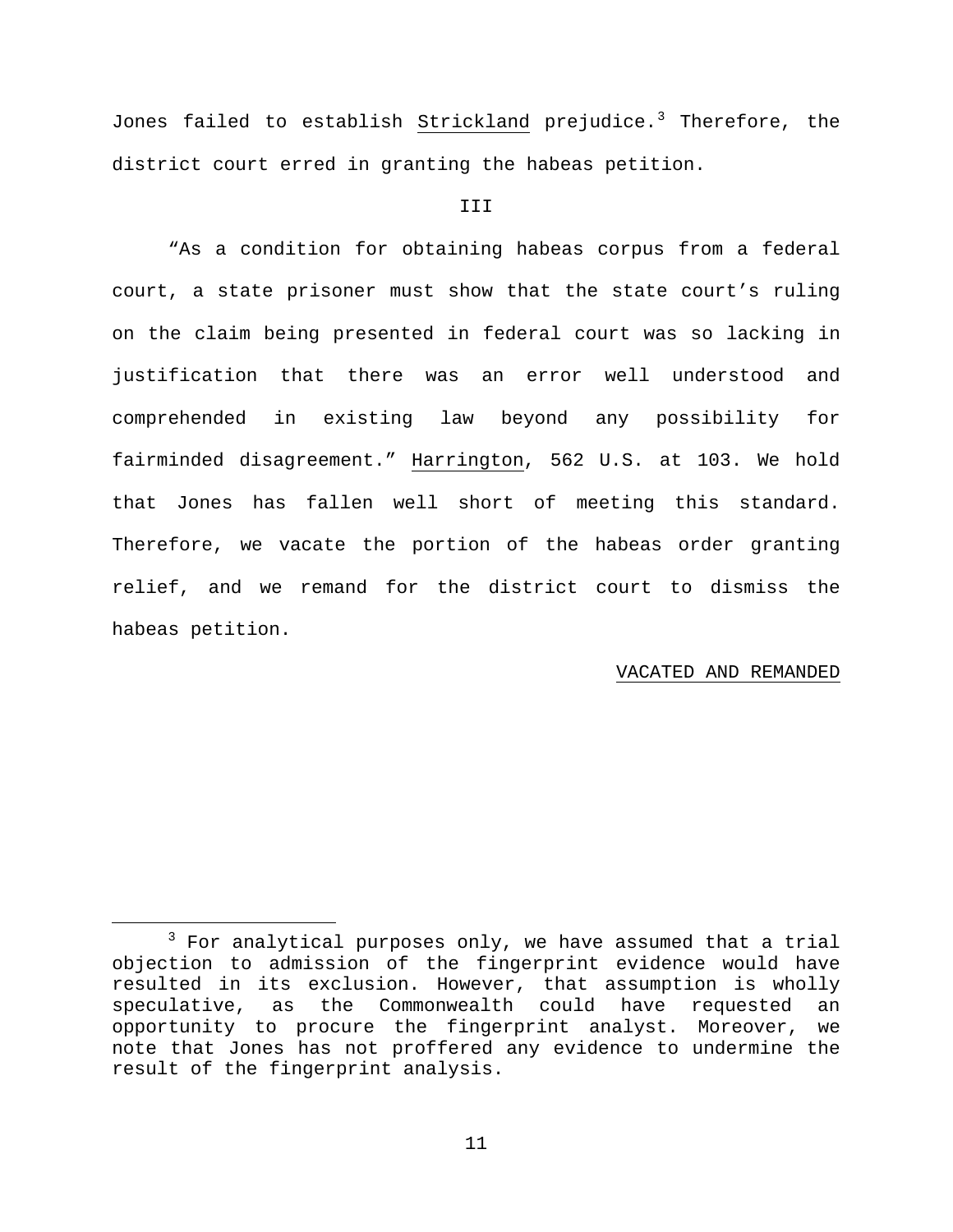Jones failed to establish Strickland prejudice.<sup>[3](#page-10-0)</sup> Therefore, the district court erred in granting the habeas petition.

## **III**

"As a condition for obtaining habeas corpus from a federal court, a state prisoner must show that the state court's ruling on the claim being presented in federal court was so lacking in justification that there was an error well understood and comprehended in existing law beyond any possibility for fairminded disagreement." Harrington, 562 U.S. at 103. We hold that Jones has fallen well short of meeting this standard. Therefore, we vacate the portion of the habeas order granting relief, and we remand for the district court to dismiss the habeas petition.

## VACATED AND REMANDED

<span id="page-10-0"></span> $3$  For analytical purposes only, we have assumed that a trial objection to admission of the fingerprint evidence would have resulted in its exclusion. However, that assumption is wholly speculative, as the Commonwealth could have requested an opportunity to procure the fingerprint analyst. Moreover, we note that Jones has not proffered any evidence to undermine the result of the fingerprint analysis.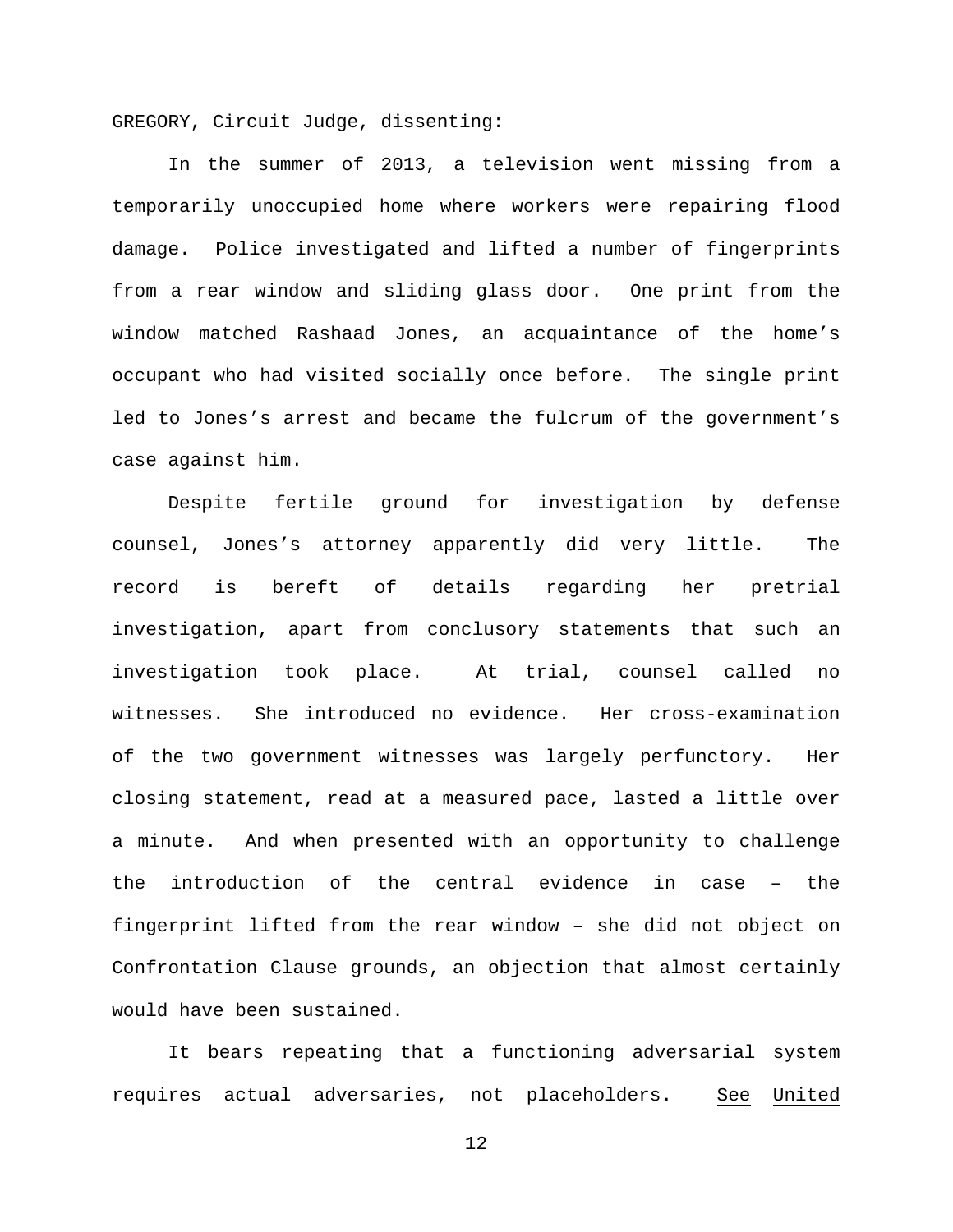GREGORY, Circuit Judge, dissenting:

In the summer of 2013, a television went missing from a temporarily unoccupied home where workers were repairing flood damage. Police investigated and lifted a number of fingerprints from a rear window and sliding glass door. One print from the window matched Rashaad Jones, an acquaintance of the home's occupant who had visited socially once before. The single print led to Jones's arrest and became the fulcrum of the government's case against him.

Despite fertile ground for investigation by defense counsel, Jones's attorney apparently did very little. The record is bereft of details regarding her pretrial investigation, apart from conclusory statements that such an investigation took place. At trial, counsel called no witnesses. She introduced no evidence. Her cross-examination of the two government witnesses was largely perfunctory. Her closing statement, read at a measured pace, lasted a little over a minute. And when presented with an opportunity to challenge the introduction of the central evidence in case – the fingerprint lifted from the rear window – she did not object on Confrontation Clause grounds, an objection that almost certainly would have been sustained.

It bears repeating that a functioning adversarial system requires actual adversaries, not placeholders. See United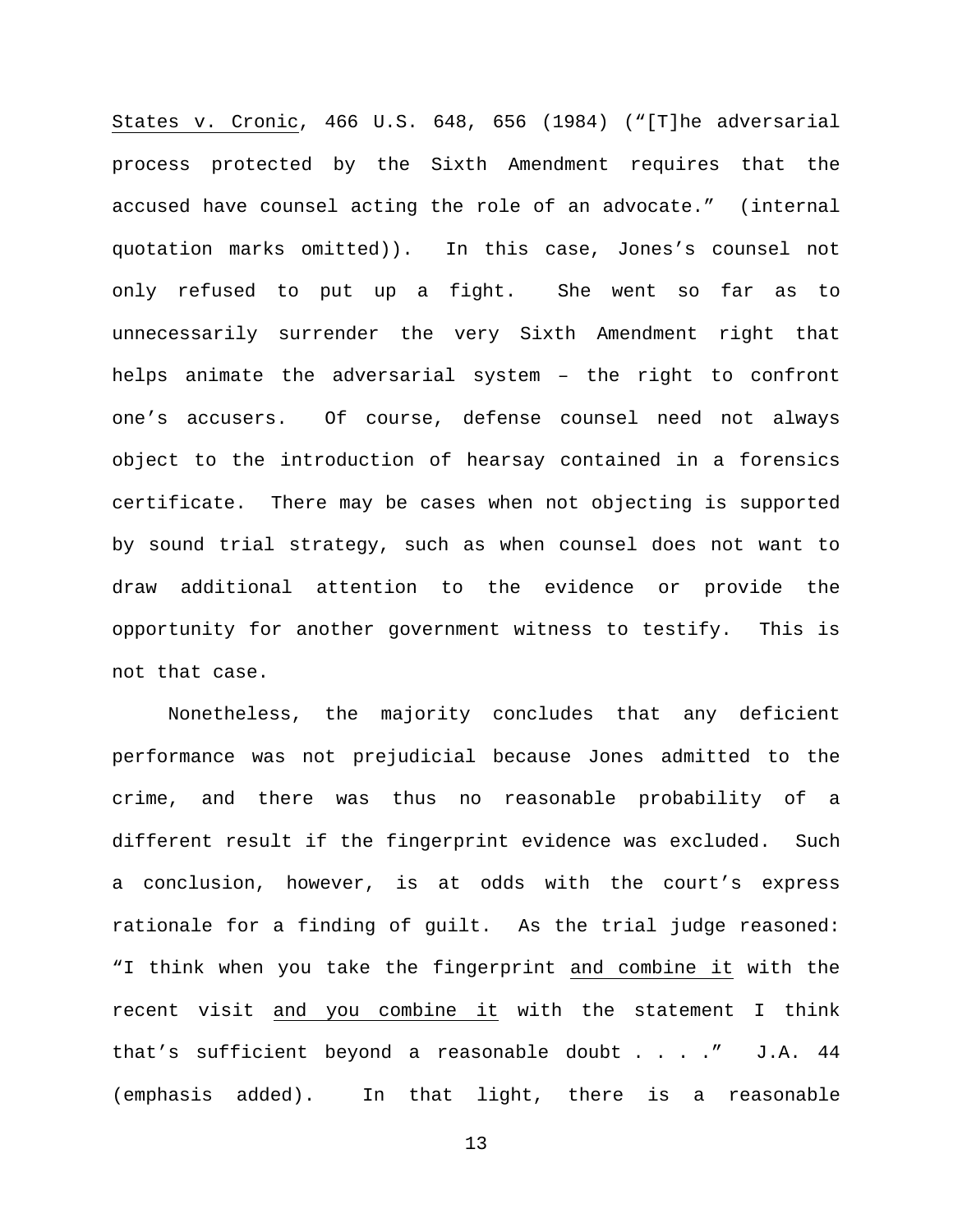States v. Cronic, 466 U.S. 648, 656 (1984) ("[T]he adversarial process protected by the Sixth Amendment requires that the accused have counsel acting the role of an advocate." (internal quotation marks omitted)). In this case, Jones's counsel not only refused to put up a fight. She went so far as to unnecessarily surrender the very Sixth Amendment right that helps animate the adversarial system – the right to confront one's accusers. Of course, defense counsel need not always object to the introduction of hearsay contained in a forensics certificate. There may be cases when not objecting is supported by sound trial strategy, such as when counsel does not want to draw additional attention to the evidence or provide the opportunity for another government witness to testify. This is not that case.

Nonetheless, the majority concludes that any deficient performance was not prejudicial because Jones admitted to the crime, and there was thus no reasonable probability of a different result if the fingerprint evidence was excluded. Such a conclusion, however, is at odds with the court's express rationale for a finding of guilt. As the trial judge reasoned: "I think when you take the fingerprint and combine it with the recent visit and you combine it with the statement I think that's sufficient beyond a reasonable doubt . . . ." J.A. 44 (emphasis added). In that light, there is a reasonable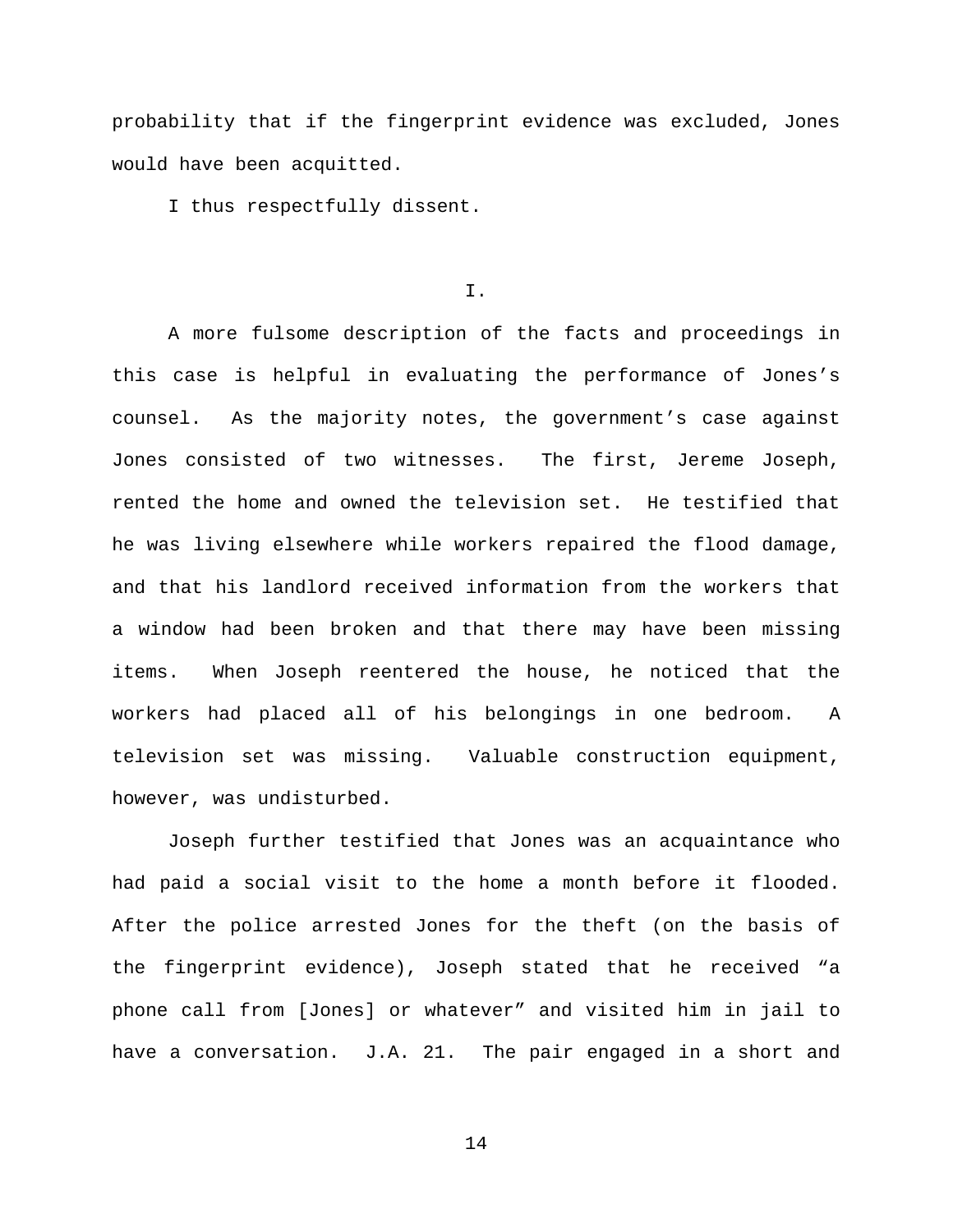probability that if the fingerprint evidence was excluded, Jones would have been acquitted.

I thus respectfully dissent.

## I.

A more fulsome description of the facts and proceedings in this case is helpful in evaluating the performance of Jones's counsel. As the majority notes, the government's case against Jones consisted of two witnesses. The first, Jereme Joseph, rented the home and owned the television set. He testified that he was living elsewhere while workers repaired the flood damage, and that his landlord received information from the workers that a window had been broken and that there may have been missing items. When Joseph reentered the house, he noticed that the workers had placed all of his belongings in one bedroom. A television set was missing. Valuable construction equipment, however, was undisturbed.

Joseph further testified that Jones was an acquaintance who had paid a social visit to the home a month before it flooded. After the police arrested Jones for the theft (on the basis of the fingerprint evidence), Joseph stated that he received "a phone call from [Jones] or whatever" and visited him in jail to have a conversation. J.A. 21. The pair engaged in a short and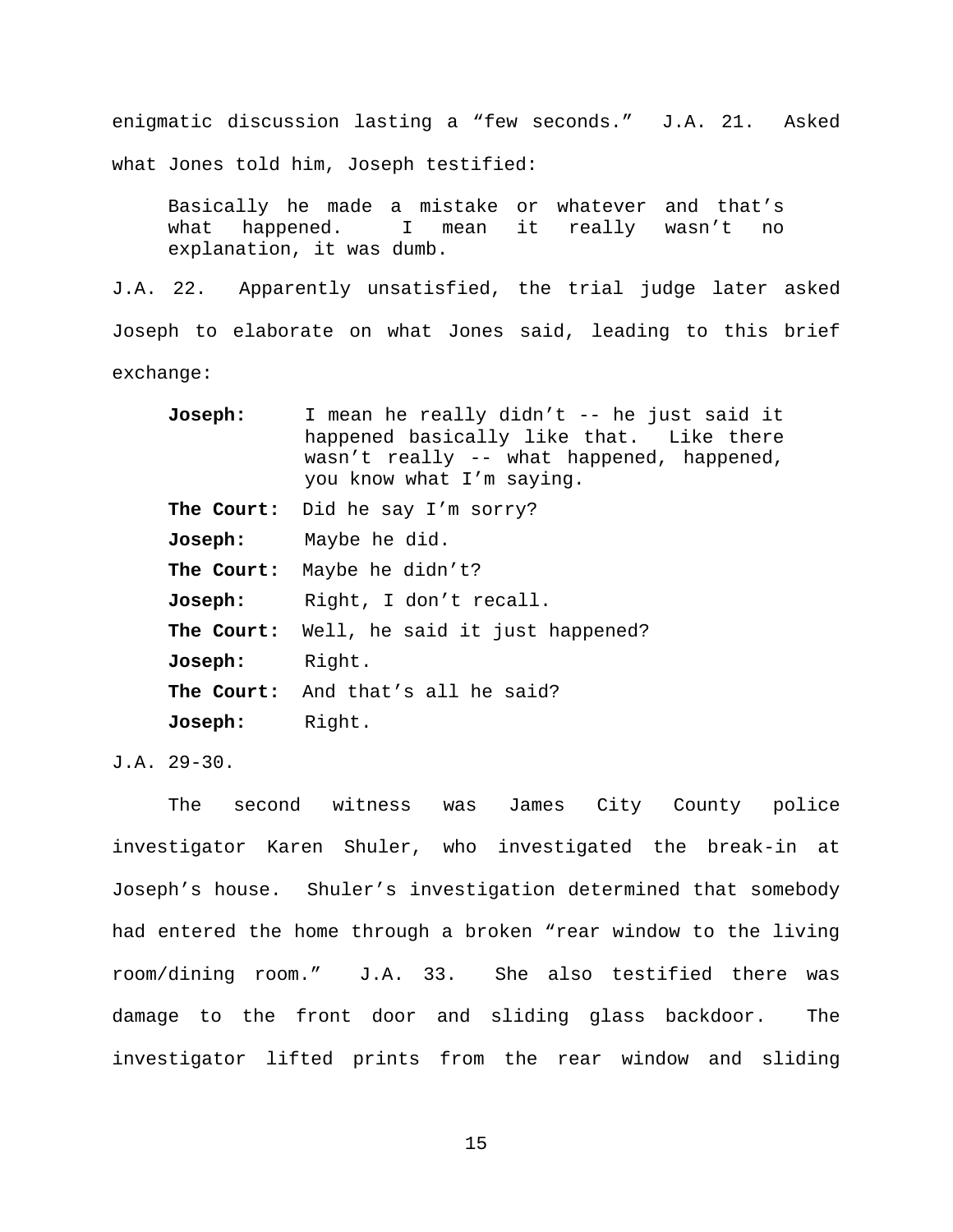enigmatic discussion lasting a "few seconds." J.A. 21. Asked what Jones told him, Joseph testified:

Basically he made a mistake or whatever and that's<br>what happened. I mean it really wasn't no what happened. I mean it really wasn't no explanation, it was dumb.

J.A. 22. Apparently unsatisfied, the trial judge later asked Joseph to elaborate on what Jones said, leading to this brief exchange:

| <b>Joseph:</b> | I mean he really didn't -- he just said it<br>happened basically like that. Like there<br>wasn't really -- what happened, happened,<br>you know what I'm saying. |
|----------------|------------------------------------------------------------------------------------------------------------------------------------------------------------------|
|                | The Court: Did he say I'm sorry?                                                                                                                                 |
|                | Joseph: Maybe he did.                                                                                                                                            |
|                | The Court: Maybe he didn't?                                                                                                                                      |
|                | Joseph: Right, I don't recall.                                                                                                                                   |
|                | The Court: Well, he said it just happened?                                                                                                                       |
| Joseph: Right. |                                                                                                                                                                  |
|                | <b>The Court:</b> And that's all he said?                                                                                                                        |
| Joseph: Right. |                                                                                                                                                                  |

J.A. 29-30.

The second witness was James City County police investigator Karen Shuler, who investigated the break-in at Joseph's house. Shuler's investigation determined that somebody had entered the home through a broken "rear window to the living room/dining room." J.A. 33. She also testified there was damage to the front door and sliding glass backdoor. The investigator lifted prints from the rear window and sliding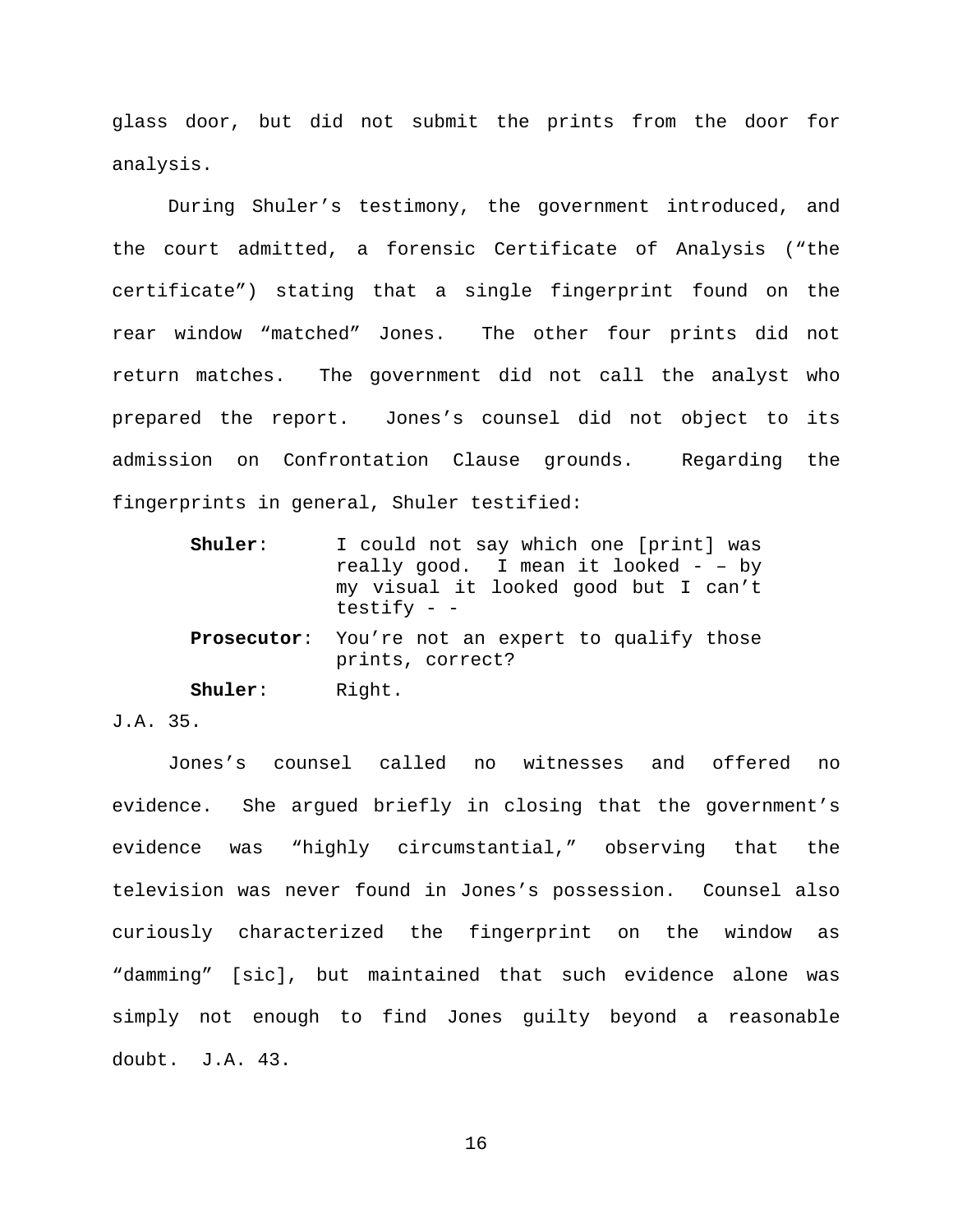glass door, but did not submit the prints from the door for analysis.

During Shuler's testimony, the government introduced, and the court admitted, a forensic Certificate of Analysis ("the certificate") stating that a single fingerprint found on the rear window "matched" Jones. The other four prints did not return matches. The government did not call the analyst who prepared the report. Jones's counsel did not object to its admission on Confrontation Clause grounds. Regarding the fingerprints in general, Shuler testified:

| Shuler: | I could not say which one [print] was<br>really good. I mean it looked $-$ - by<br>my visual it looked good but I can't<br>testify $ -$ |
|---------|-----------------------------------------------------------------------------------------------------------------------------------------|
|         | <b>Prosecutor:</b> You're not an expert to qualify those<br>prints, correct?                                                            |
| Shuler: | Right.                                                                                                                                  |

# J.A. 35.

Jones's counsel called no witnesses and offered no evidence. She argued briefly in closing that the government's evidence was "highly circumstantial," observing that the television was never found in Jones's possession. Counsel also curiously characterized the fingerprint on the window as "damming" [sic], but maintained that such evidence alone was simply not enough to find Jones guilty beyond a reasonable doubt. J.A. 43.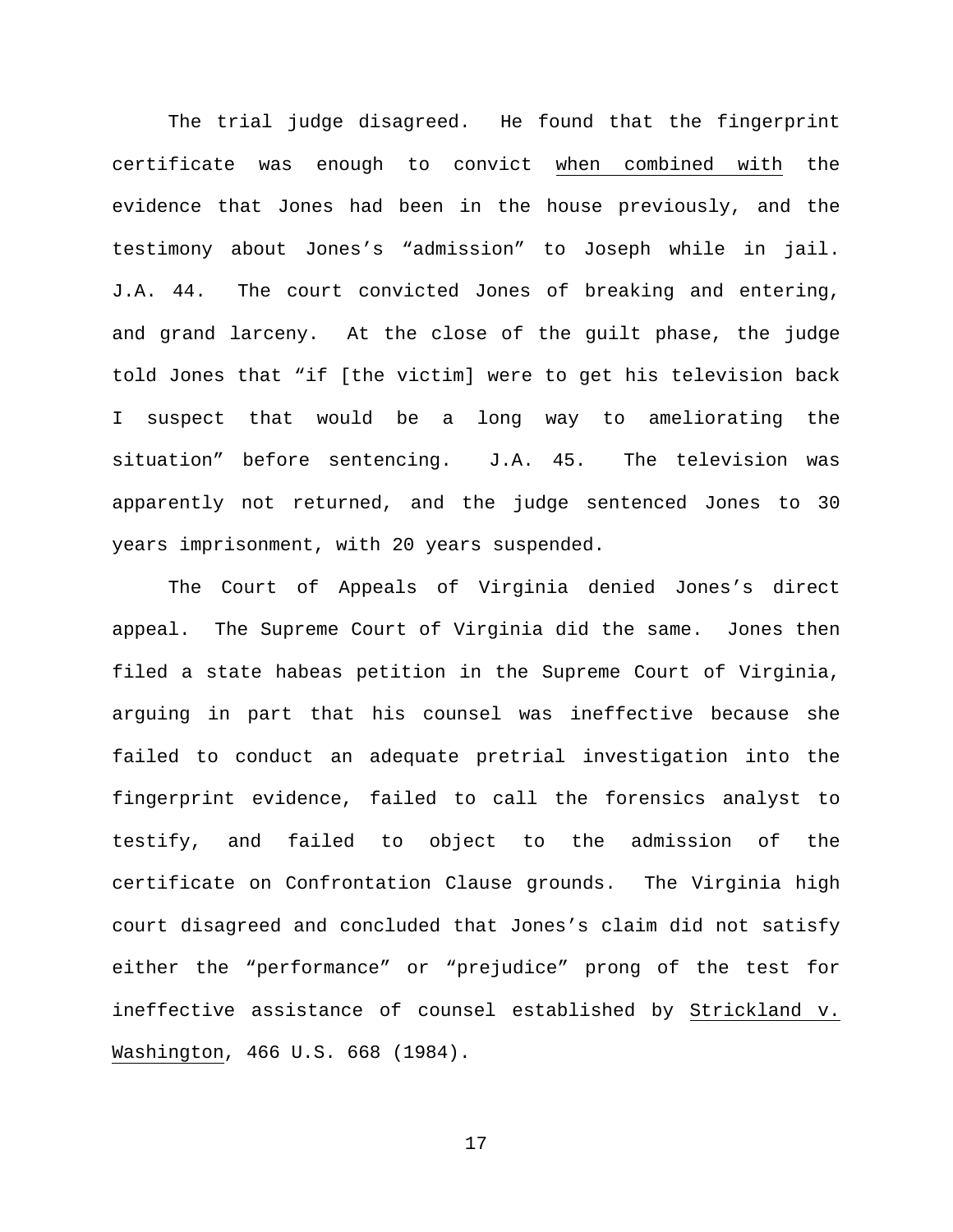The trial judge disagreed. He found that the fingerprint certificate was enough to convict when combined with the evidence that Jones had been in the house previously, and the testimony about Jones's "admission" to Joseph while in jail. J.A. 44. The court convicted Jones of breaking and entering, and grand larceny. At the close of the guilt phase, the judge told Jones that "if [the victim] were to get his television back I suspect that would be a long way to ameliorating the situation" before sentencing. J.A. 45. The television was apparently not returned, and the judge sentenced Jones to 30 years imprisonment, with 20 years suspended.

The Court of Appeals of Virginia denied Jones's direct appeal. The Supreme Court of Virginia did the same. Jones then filed a state habeas petition in the Supreme Court of Virginia, arguing in part that his counsel was ineffective because she failed to conduct an adequate pretrial investigation into the fingerprint evidence, failed to call the forensics analyst to testify, and failed to object to the admission of the certificate on Confrontation Clause grounds. The Virginia high court disagreed and concluded that Jones's claim did not satisfy either the "performance" or "prejudice" prong of the test for ineffective assistance of counsel established by Strickland v. Washington, 466 U.S. 668 (1984).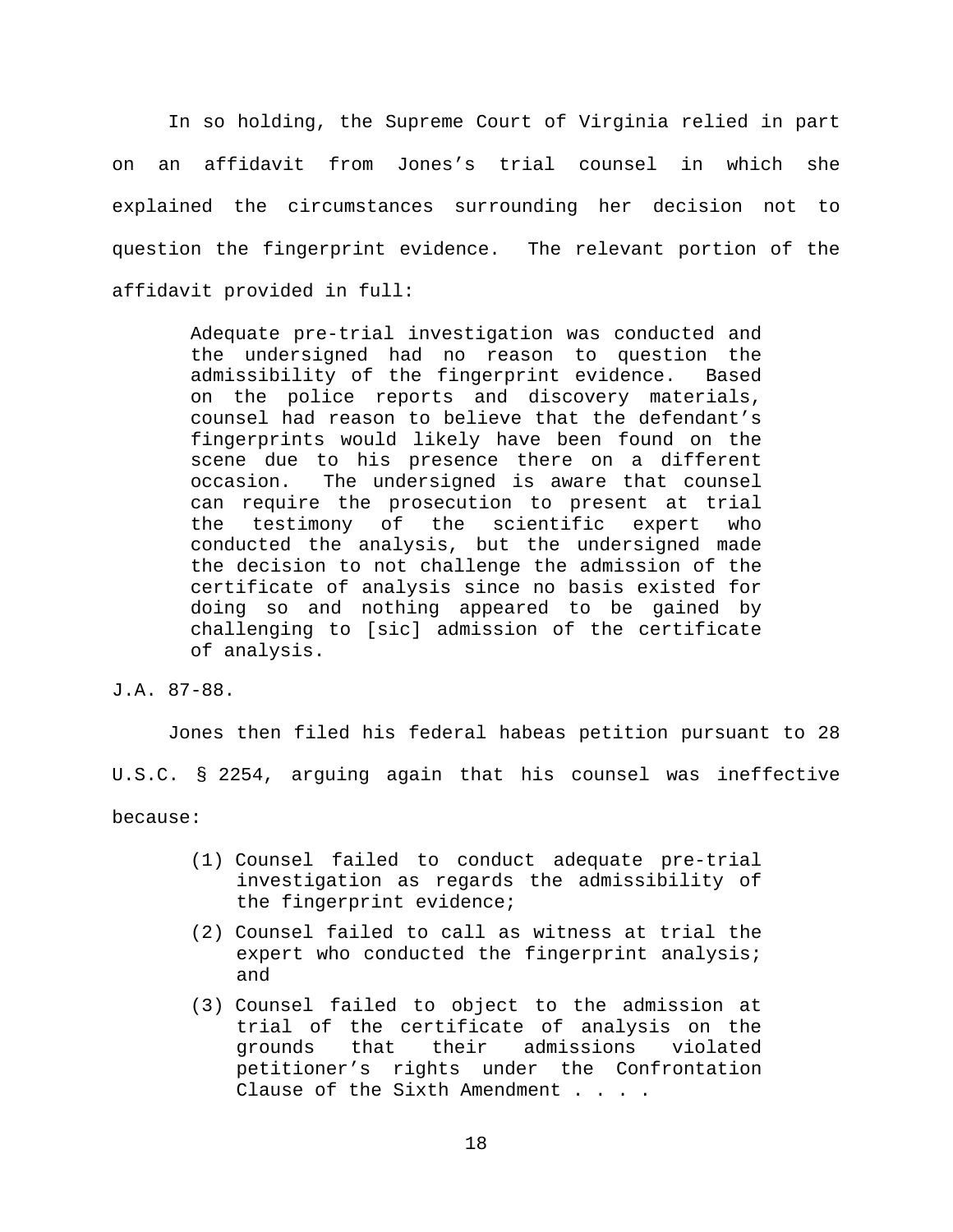In so holding, the Supreme Court of Virginia relied in part on an affidavit from Jones's trial counsel in which she explained the circumstances surrounding her decision not to question the fingerprint evidence. The relevant portion of the affidavit provided in full:

> Adequate pre-trial investigation was conducted and the undersigned had no reason to question the admissibility of the fingerprint evidence. Based on the police reports and discovery materials, counsel had reason to believe that the defendant's fingerprints would likely have been found on the scene due to his presence there on a different<br>occasion. The undersigned is aware that counsel The undersigned is aware that counsel can require the prosecution to present at trial<br>the testimony of the scientific expert who testimony of the scientific conducted the analysis, but the undersigned made the decision to not challenge the admission of the certificate of analysis since no basis existed for doing so and nothing appeared to be gained by challenging to [sic] admission of the certificate of analysis.

J.A. 87-88.

Jones then filed his federal habeas petition pursuant to 28 U.S.C. § 2254, arguing again that his counsel was ineffective because:

- (1) Counsel failed to conduct adequate pre-trial investigation as regards the admissibility of the fingerprint evidence;
- (2) Counsel failed to call as witness at trial the expert who conducted the fingerprint analysis; and
- (3) Counsel failed to object to the admission at trial of the certificate of analysis on the<br>grounds that their admissions violated grounds that their admissions violated petitioner's rights under the Confrontation Clause of the Sixth Amendment . . . .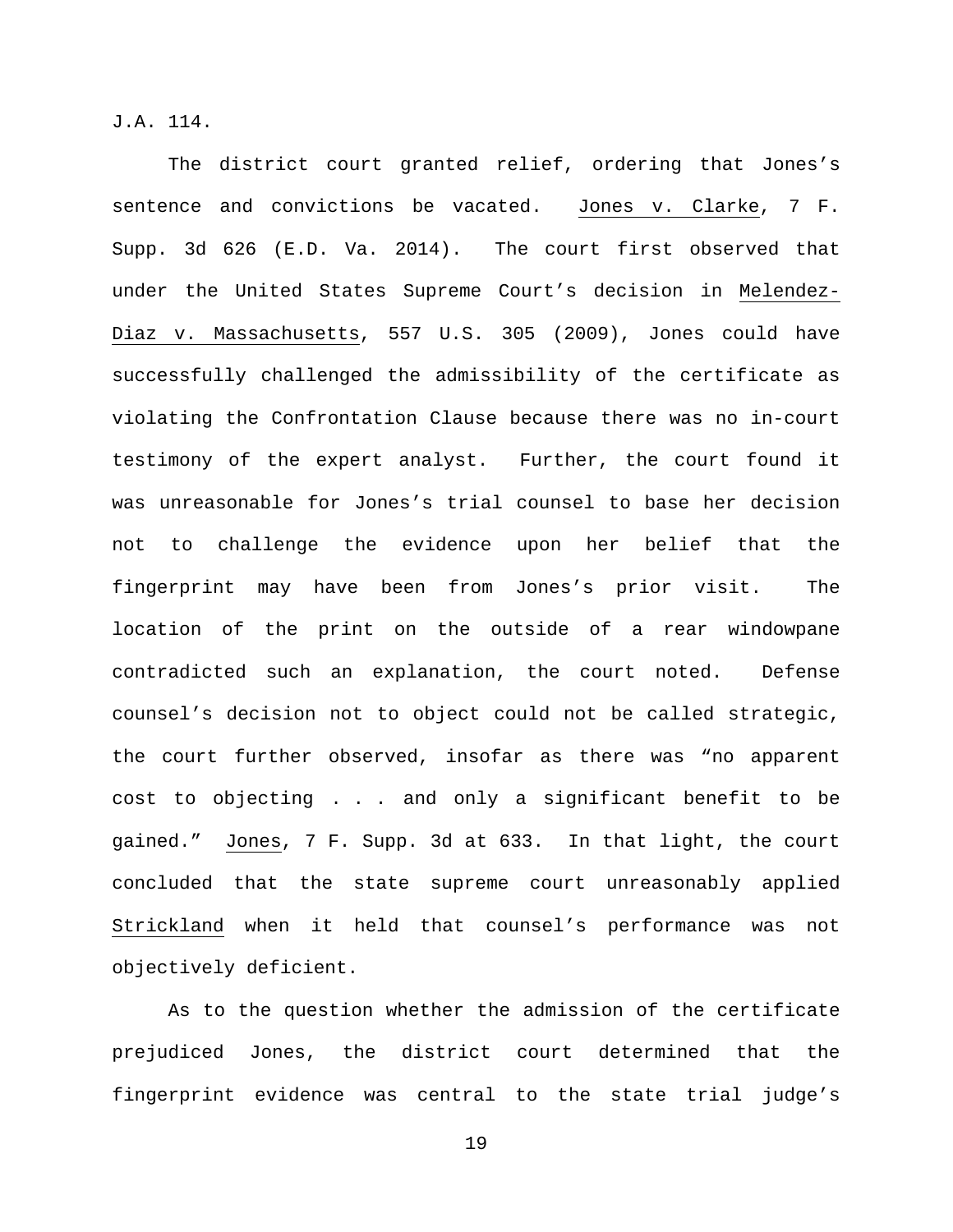J.A. 114.

The district court granted relief, ordering that Jones's sentence and convictions be vacated. Jones v. Clarke, 7 F. Supp. 3d 626 (E.D. Va. 2014). The court first observed that under the United States Supreme Court's decision in Melendez-Diaz v. Massachusetts, 557 U.S. 305 (2009), Jones could have successfully challenged the admissibility of the certificate as violating the Confrontation Clause because there was no in-court testimony of the expert analyst. Further, the court found it was unreasonable for Jones's trial counsel to base her decision not to challenge the evidence upon her belief that the fingerprint may have been from Jones's prior visit. The location of the print on the outside of a rear windowpane contradicted such an explanation, the court noted. Defense counsel's decision not to object could not be called strategic, the court further observed, insofar as there was "no apparent cost to objecting . . . and only a significant benefit to be gained." Jones, 7 F. Supp. 3d at 633. In that light, the court concluded that the state supreme court unreasonably applied Strickland when it held that counsel's performance was not objectively deficient.

As to the question whether the admission of the certificate prejudiced Jones, the district court determined that the fingerprint evidence was central to the state trial judge's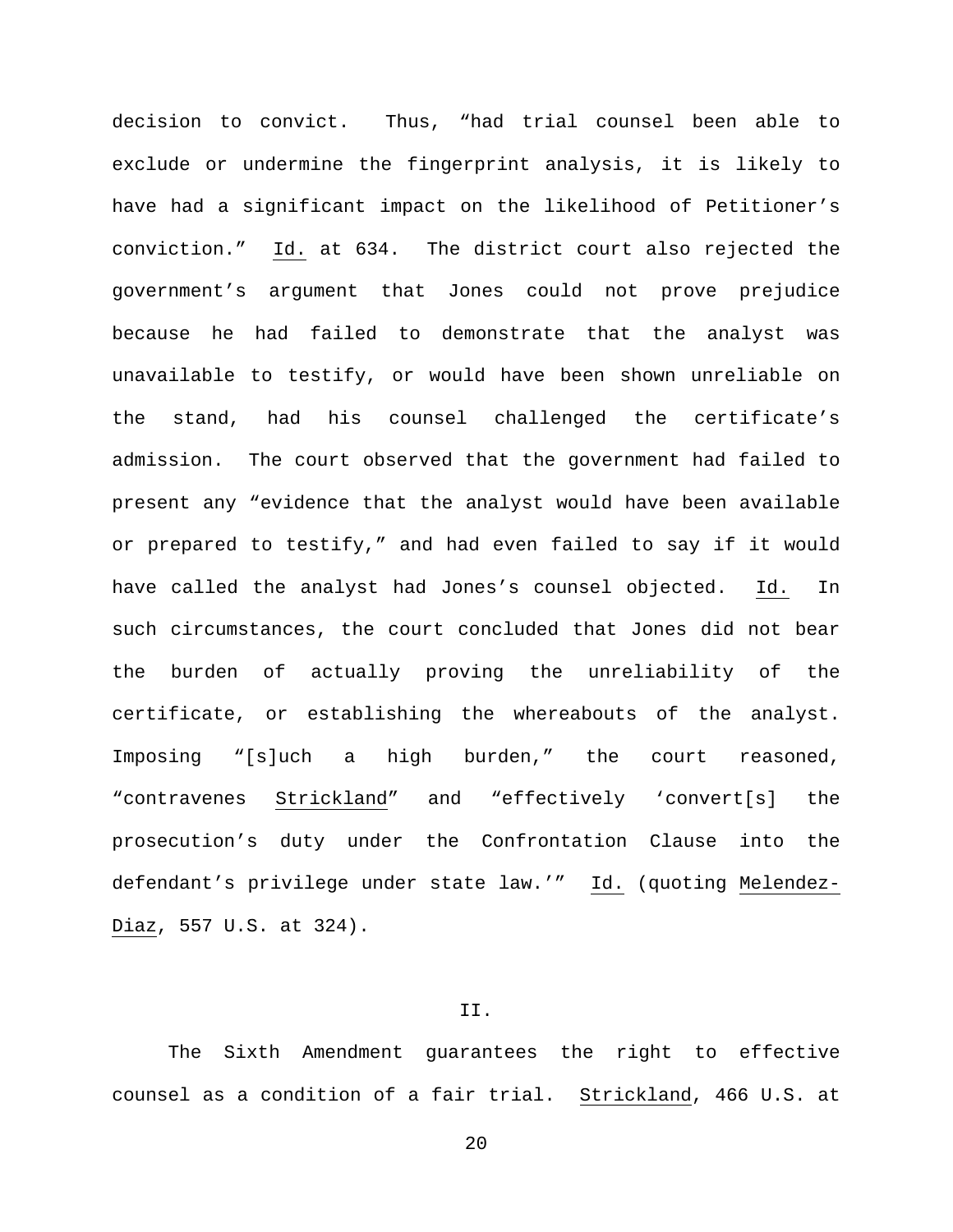decision to convict. Thus, "had trial counsel been able to exclude or undermine the fingerprint analysis, it is likely to have had a significant impact on the likelihood of Petitioner's conviction." Id. at 634. The district court also rejected the government's argument that Jones could not prove prejudice because he had failed to demonstrate that the analyst was unavailable to testify, or would have been shown unreliable on the stand, had his counsel challenged the certificate's admission. The court observed that the government had failed to present any "evidence that the analyst would have been available or prepared to testify," and had even failed to say if it would have called the analyst had Jones's counsel objected. Id. In such circumstances, the court concluded that Jones did not bear the burden of actually proving the unreliability of the certificate, or establishing the whereabouts of the analyst. Imposing "[s]uch a high burden," the court reasoned, "contravenes Strickland" and "effectively 'convert[s] the prosecution's duty under the Confrontation Clause into the defendant's privilege under state law.'" Id. (quoting Melendez-Diaz, 557 U.S. at 324).

## II.

The Sixth Amendment guarantees the right to effective counsel as a condition of a fair trial. Strickland, 466 U.S. at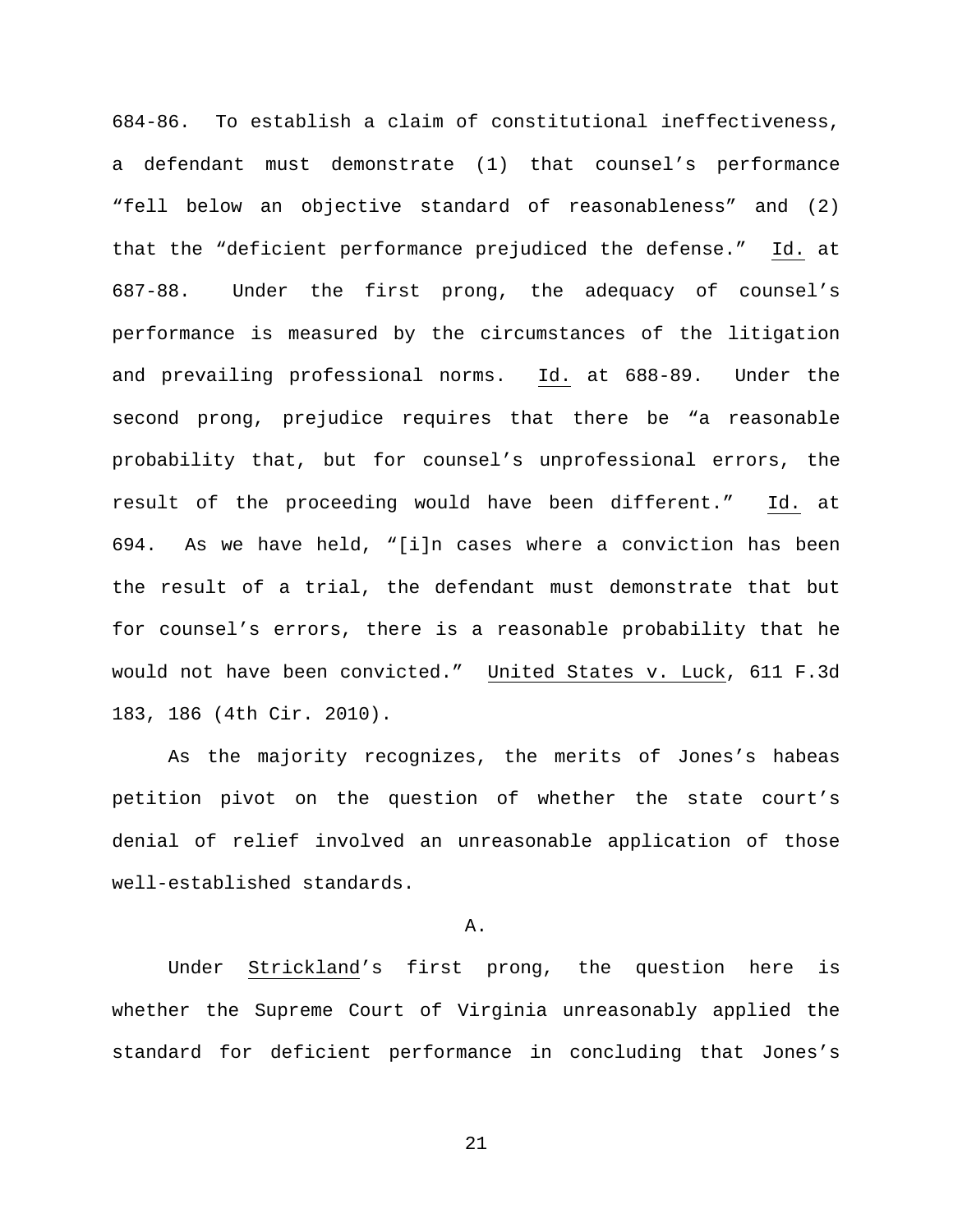684-86. To establish a claim of constitutional ineffectiveness, a defendant must demonstrate (1) that counsel's performance "fell below an objective standard of reasonableness" and (2) that the "deficient performance prejudiced the defense." Id. at 687-88. Under the first prong, the adequacy of counsel's performance is measured by the circumstances of the litigation and prevailing professional norms. Id. at 688-89. Under the second prong, prejudice requires that there be "a reasonable probability that, but for counsel's unprofessional errors, the result of the proceeding would have been different." Id. at 694. As we have held, "[i]n cases where a conviction has been the result of a trial, the defendant must demonstrate that but for counsel's errors, there is a reasonable probability that he would not have been convicted." United States v. Luck, 611 F.3d 183, 186 (4th Cir. 2010).

As the majority recognizes, the merits of Jones's habeas petition pivot on the question of whether the state court's denial of relief involved an unreasonable application of those well-established standards.

### A.

Under Strickland's first prong, the question here is whether the Supreme Court of Virginia unreasonably applied the standard for deficient performance in concluding that Jones's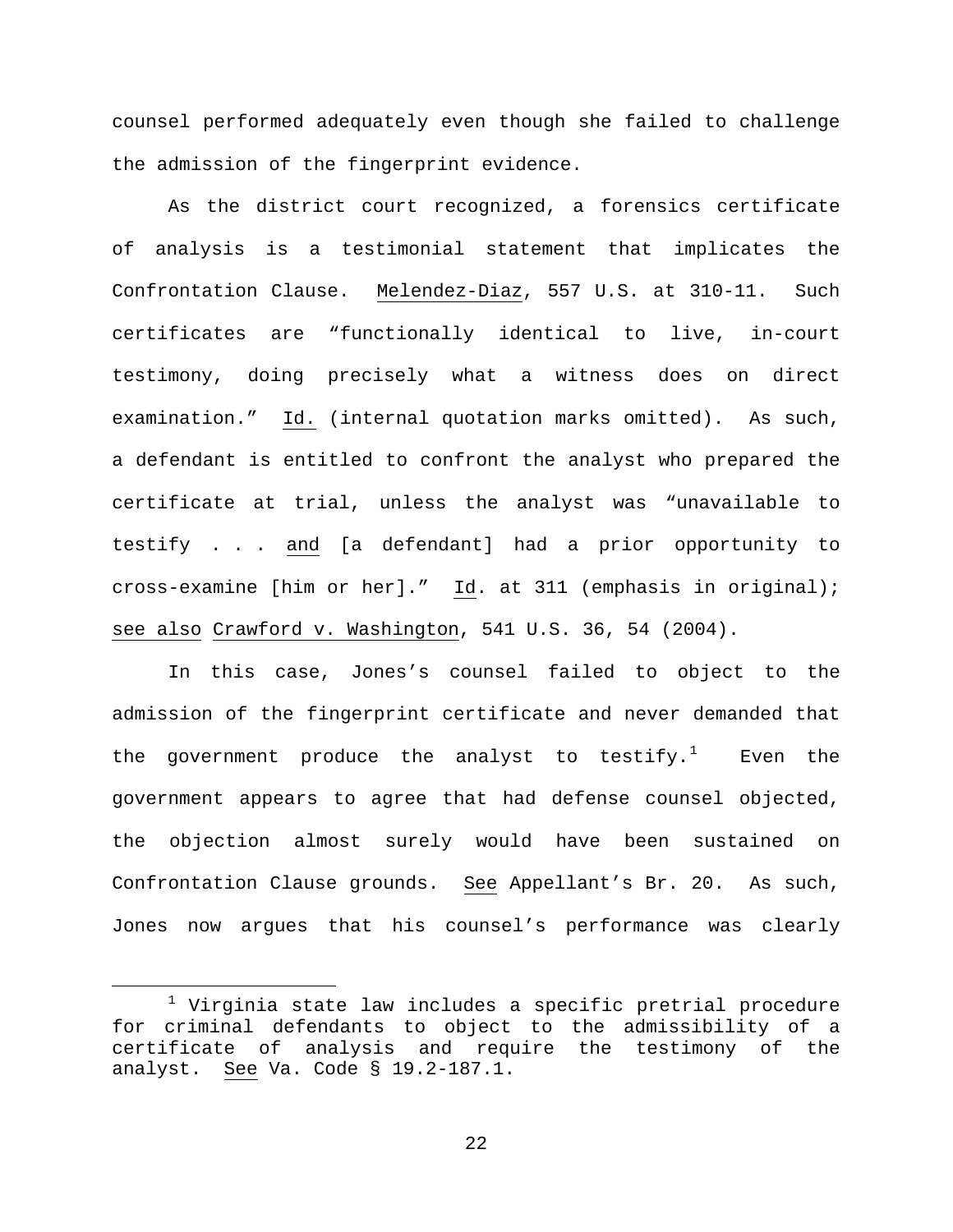counsel performed adequately even though she failed to challenge the admission of the fingerprint evidence.

As the district court recognized, a forensics certificate of analysis is a testimonial statement that implicates the Confrontation Clause. Melendez-Diaz, 557 U.S. at 310-11. Such certificates are "functionally identical to live, in-court testimony, doing precisely what a witness does on direct examination." Id. (internal quotation marks omitted). As such, a defendant is entitled to confront the analyst who prepared the certificate at trial, unless the analyst was "unavailable to testify . . . and [a defendant] had a prior opportunity to cross-examine [him or her]." Id. at 311 (emphasis in original); see also Crawford v. Washington, 541 U.S. 36, 54 (2004).

In this case, Jones's counsel failed to object to the admission of the fingerprint certificate and never demanded that the government produce the analyst to testify. $^1$  $^1$  Even the government appears to agree that had defense counsel objected, the objection almost surely would have been sustained on Confrontation Clause grounds. See Appellant's Br. 20. As such, Jones now argues that his counsel's performance was clearly

<span id="page-21-0"></span> $1$  Virginia state law includes a specific pretrial procedure for criminal defendants to object to the admissibility of a certificate of analysis and require the testimony of the analyst. See Va. Code § 19.2-187.1.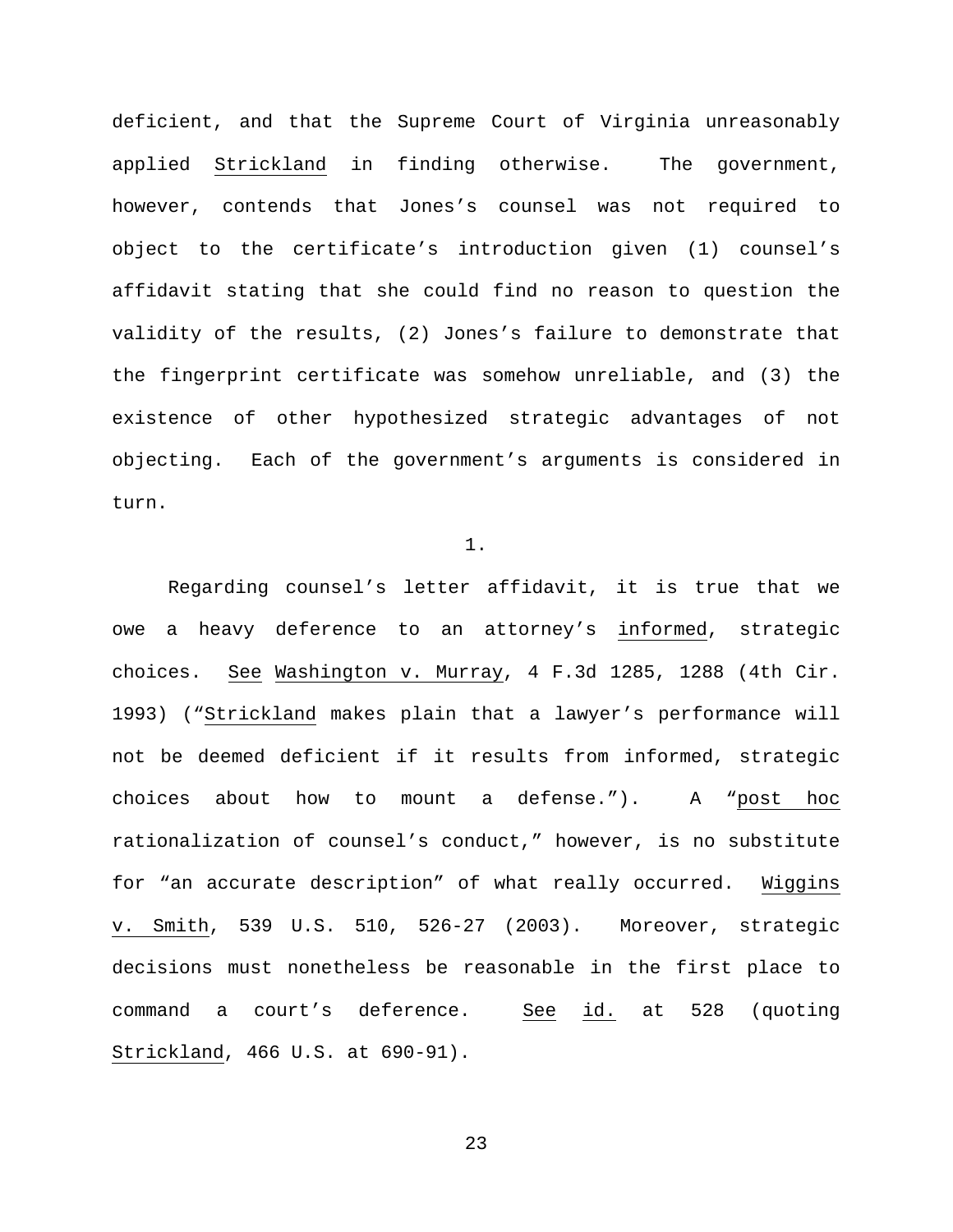deficient, and that the Supreme Court of Virginia unreasonably applied Strickland in finding otherwise. The government, however, contends that Jones's counsel was not required to object to the certificate's introduction given (1) counsel's affidavit stating that she could find no reason to question the validity of the results, (2) Jones's failure to demonstrate that the fingerprint certificate was somehow unreliable, and (3) the existence of other hypothesized strategic advantages of not objecting. Each of the government's arguments is considered in turn.

## 1.

Regarding counsel's letter affidavit, it is true that we owe a heavy deference to an attorney's informed, strategic choices. See Washington v. Murray, 4 F.3d 1285, 1288 (4th Cir. 1993) ("Strickland makes plain that a lawyer's performance will not be deemed deficient if it results from informed, strategic choices about how to mount a defense."). A "post hoc rationalization of counsel's conduct," however, is no substitute for "an accurate description" of what really occurred. Wiggins v. Smith, 539 U.S. 510, 526-27 (2003). Moreover, strategic decisions must nonetheless be reasonable in the first place to command a court's deference. See id. at 528 (quoting Strickland, 466 U.S. at 690-91).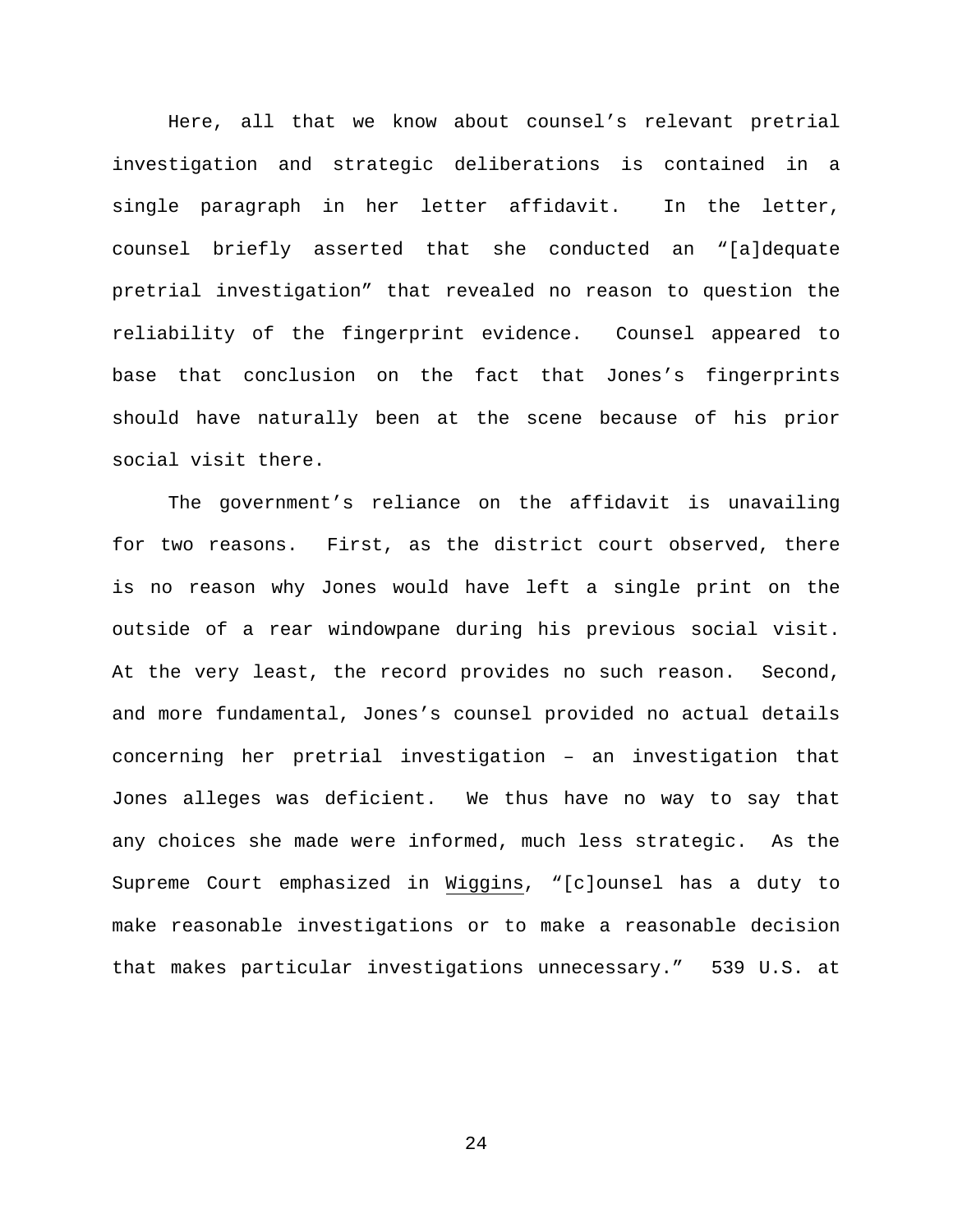Here, all that we know about counsel's relevant pretrial investigation and strategic deliberations is contained in a single paragraph in her letter affidavit. In the letter, counsel briefly asserted that she conducted an "[a]dequate pretrial investigation" that revealed no reason to question the reliability of the fingerprint evidence. Counsel appeared to base that conclusion on the fact that Jones's fingerprints should have naturally been at the scene because of his prior social visit there.

The government's reliance on the affidavit is unavailing for two reasons. First, as the district court observed, there is no reason why Jones would have left a single print on the outside of a rear windowpane during his previous social visit. At the very least, the record provides no such reason. Second, and more fundamental, Jones's counsel provided no actual details concerning her pretrial investigation – an investigation that Jones alleges was deficient. We thus have no way to say that any choices she made were informed, much less strategic. As the Supreme Court emphasized in Wiggins, "[c]ounsel has a duty to make reasonable investigations or to make a reasonable decision that makes particular investigations unnecessary." 539 U.S. at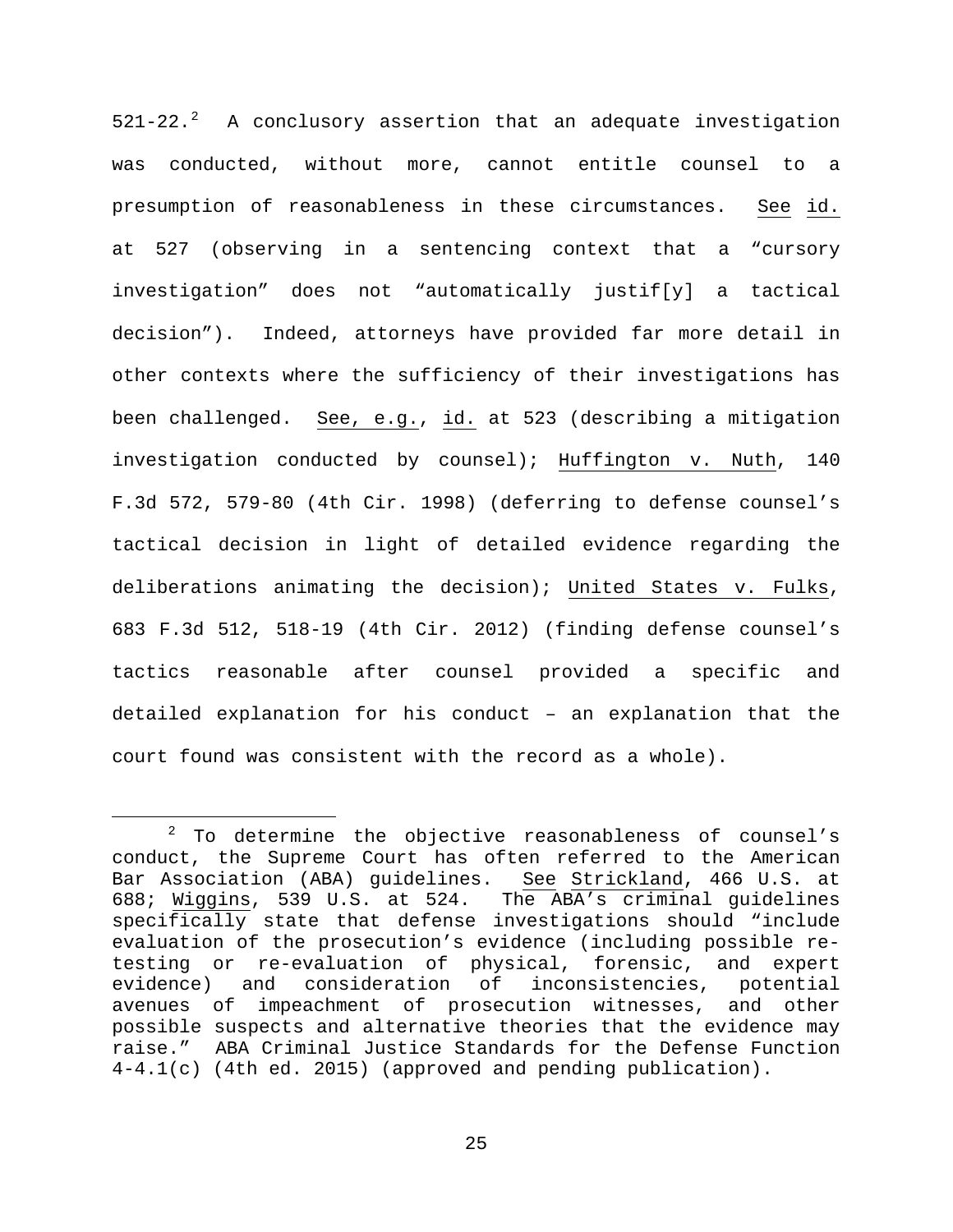$521-22.^2$  $521-22.^2$  $521-22.^2$  A conclusory assertion that an adequate investigation was conducted, without more, cannot entitle counsel to a presumption of reasonableness in these circumstances. See id. at 527 (observing in a sentencing context that a "cursory investigation" does not "automatically justif[y] a tactical decision"). Indeed, attorneys have provided far more detail in other contexts where the sufficiency of their investigations has been challenged. See, e.g., id. at 523 (describing a mitigation investigation conducted by counsel); Huffington v. Nuth, 140 F.3d 572, 579-80 (4th Cir. 1998) (deferring to defense counsel's tactical decision in light of detailed evidence regarding the deliberations animating the decision); United States v. Fulks, 683 F.3d 512, 518-19 (4th Cir. 2012) (finding defense counsel's tactics reasonable after counsel provided a specific and detailed explanation for his conduct – an explanation that the court found was consistent with the record as a whole).

<span id="page-24-0"></span> $2$  To determine the objective reasonableness of counsel's conduct, the Supreme Court has often referred to the American<br>Bar Association (ABA) guidelines. See Strickland, 466 U.S. at Bar Association (ABA) guidelines. 688; Wiggins, 539 U.S. at 524. The ABA's criminal guidelines specifically state that defense investigations should "include evaluation of the prosecution's evidence (including possible retesting or re-evaluation of physical, forensic, and expert<br>evidence) and consideration of inconsistencies, potential consideration of inconsistencies, potential avenues of impeachment of prosecution witnesses, and other possible suspects and alternative theories that the evidence may raise." ABA Criminal Justice Standards for the Defense Function 4-4.1(c) (4th ed. 2015) (approved and pending publication).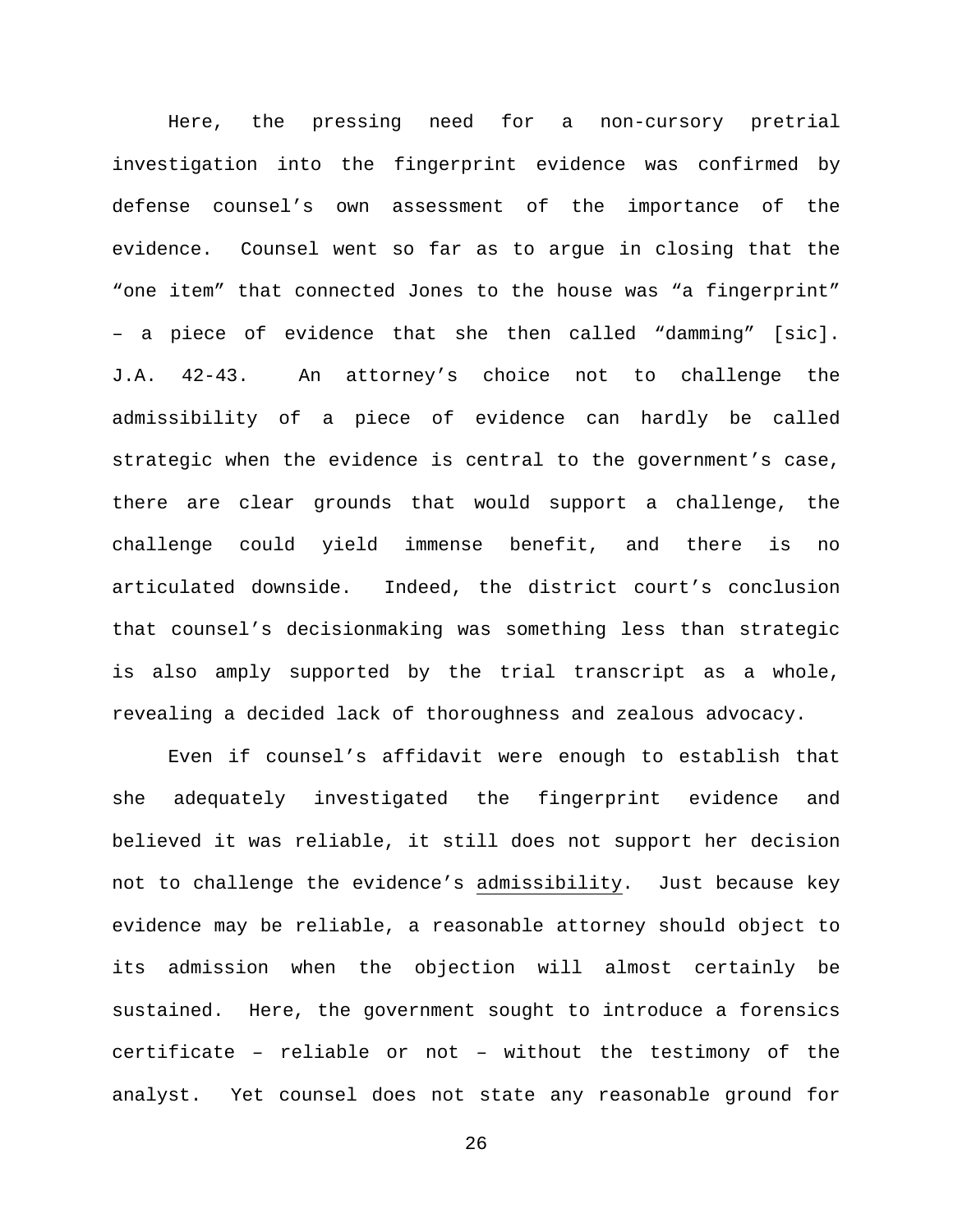Here, the pressing need for a non-cursory pretrial investigation into the fingerprint evidence was confirmed by defense counsel's own assessment of the importance of the evidence. Counsel went so far as to argue in closing that the "one item" that connected Jones to the house was "a fingerprint" – a piece of evidence that she then called "damming" [sic]. J.A. 42-43. An attorney's choice not to challenge the admissibility of a piece of evidence can hardly be called strategic when the evidence is central to the government's case, there are clear grounds that would support a challenge, the challenge could yield immense benefit, and there is no articulated downside. Indeed, the district court's conclusion that counsel's decisionmaking was something less than strategic is also amply supported by the trial transcript as a whole, revealing a decided lack of thoroughness and zealous advocacy.

Even if counsel's affidavit were enough to establish that she adequately investigated the fingerprint evidence and believed it was reliable, it still does not support her decision not to challenge the evidence's admissibility. Just because key evidence may be reliable, a reasonable attorney should object to its admission when the objection will almost certainly be sustained. Here, the government sought to introduce a forensics certificate – reliable or not – without the testimony of the analyst. Yet counsel does not state any reasonable ground for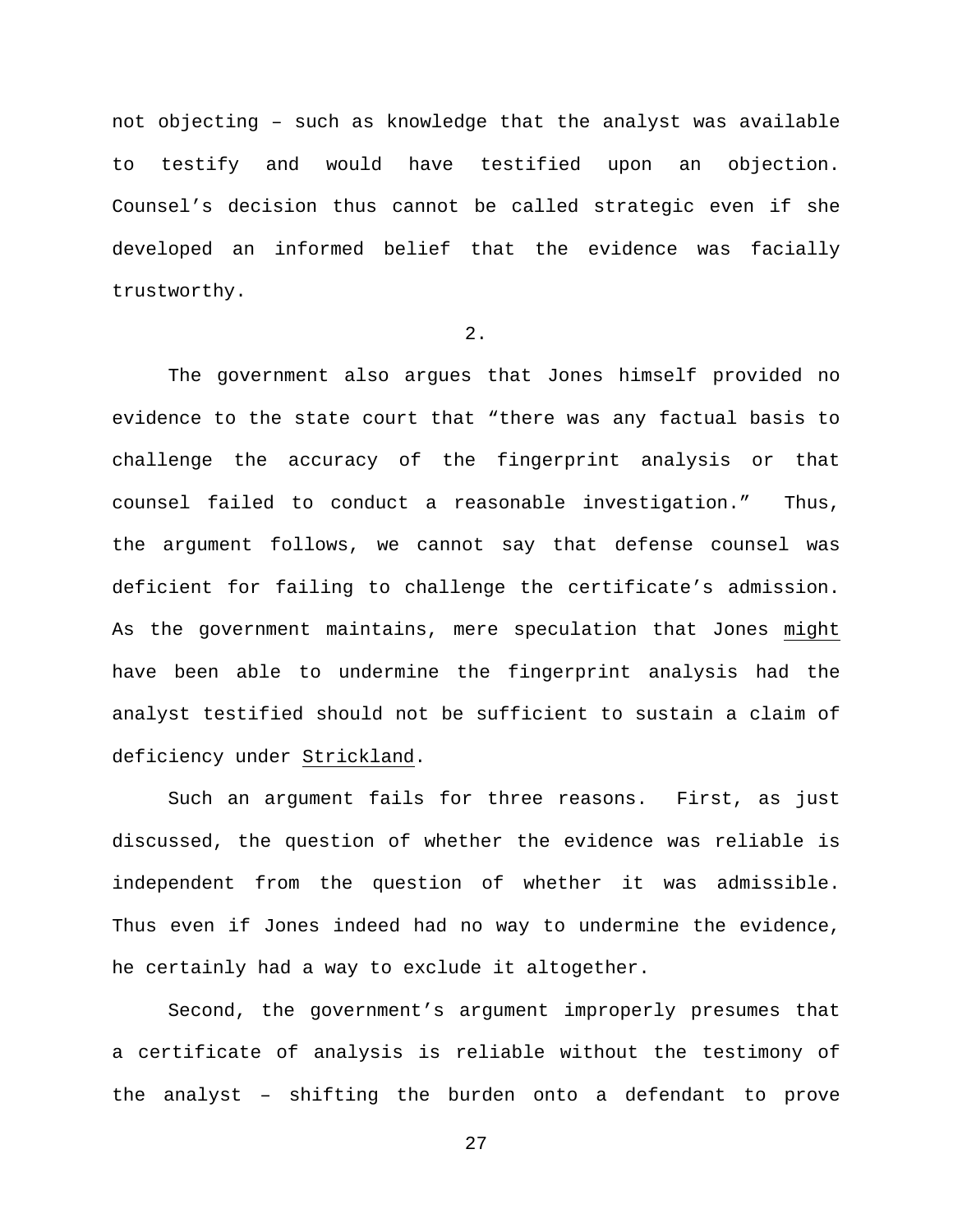not objecting – such as knowledge that the analyst was available to testify and would have testified upon an objection. Counsel's decision thus cannot be called strategic even if she developed an informed belief that the evidence was facially trustworthy.

2.

The government also argues that Jones himself provided no evidence to the state court that "there was any factual basis to challenge the accuracy of the fingerprint analysis or that counsel failed to conduct a reasonable investigation." Thus, the argument follows, we cannot say that defense counsel was deficient for failing to challenge the certificate's admission. As the government maintains, mere speculation that Jones might have been able to undermine the fingerprint analysis had the analyst testified should not be sufficient to sustain a claim of deficiency under Strickland.

Such an argument fails for three reasons. First, as just discussed, the question of whether the evidence was reliable is independent from the question of whether it was admissible. Thus even if Jones indeed had no way to undermine the evidence, he certainly had a way to exclude it altogether.

Second, the government's argument improperly presumes that a certificate of analysis is reliable without the testimony of the analyst – shifting the burden onto a defendant to prove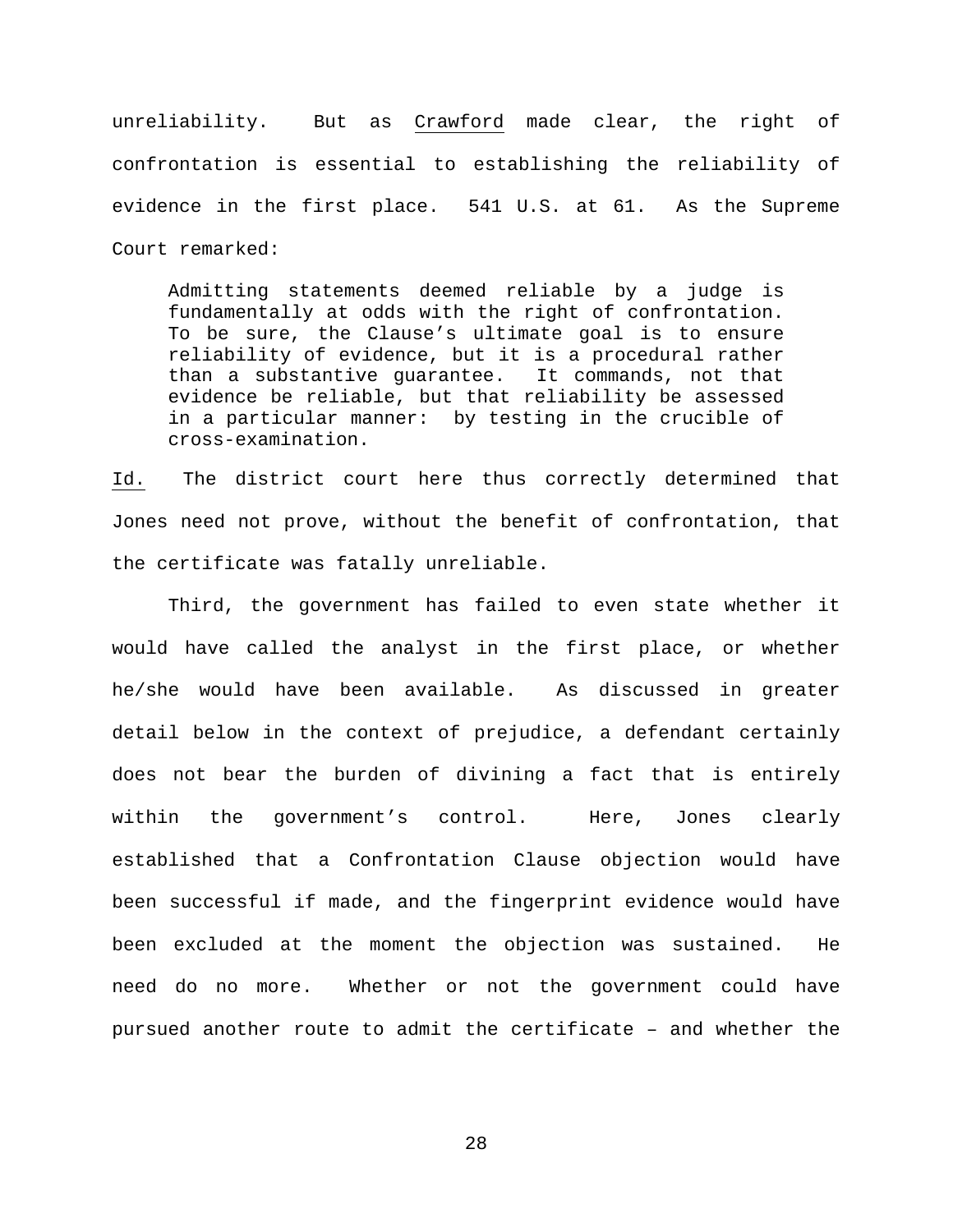unreliability. But as Crawford made clear, the right of confrontation is essential to establishing the reliability of evidence in the first place. 541 U.S. at 61. As the Supreme Court remarked:

Admitting statements deemed reliable by a judge is fundamentally at odds with the right of confrontation. To be sure, the Clause's ultimate goal is to ensure reliability of evidence, but it is a procedural rather<br>than a substantive guarantee. It commands, not that than a substantive guarantee. evidence be reliable, but that reliability be assessed in a particular manner: by testing in the crucible of cross-examination.

Id. The district court here thus correctly determined that Jones need not prove, without the benefit of confrontation, that the certificate was fatally unreliable.

Third, the government has failed to even state whether it would have called the analyst in the first place, or whether he/she would have been available. As discussed in greater detail below in the context of prejudice, a defendant certainly does not bear the burden of divining a fact that is entirely within the government's control. Here, Jones clearly established that a Confrontation Clause objection would have been successful if made, and the fingerprint evidence would have been excluded at the moment the objection was sustained. He need do no more. Whether or not the government could have pursued another route to admit the certificate – and whether the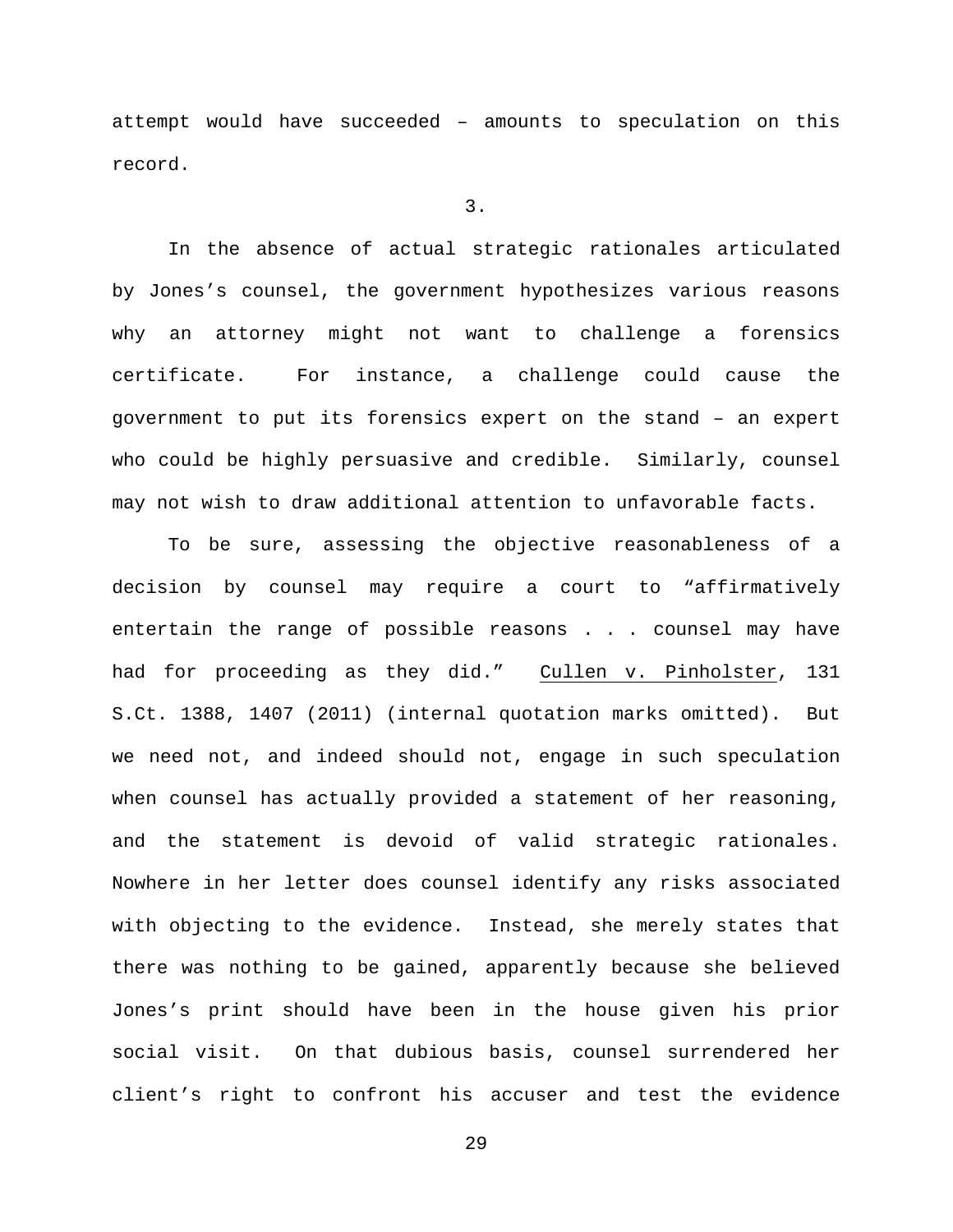attempt would have succeeded – amounts to speculation on this record.

3.

In the absence of actual strategic rationales articulated by Jones's counsel, the government hypothesizes various reasons why an attorney might not want to challenge a forensics certificate. For instance, a challenge could cause the government to put its forensics expert on the stand – an expert who could be highly persuasive and credible. Similarly, counsel may not wish to draw additional attention to unfavorable facts.

To be sure, assessing the objective reasonableness of a decision by counsel may require a court to "affirmatively entertain the range of possible reasons . . . counsel may have had for proceeding as they did." Cullen v. Pinholster, 131 S.Ct. 1388, 1407 (2011) (internal quotation marks omitted). But we need not, and indeed should not, engage in such speculation when counsel has actually provided a statement of her reasoning, and the statement is devoid of valid strategic rationales. Nowhere in her letter does counsel identify any risks associated with objecting to the evidence. Instead, she merely states that there was nothing to be gained, apparently because she believed Jones's print should have been in the house given his prior social visit. On that dubious basis, counsel surrendered her client's right to confront his accuser and test the evidence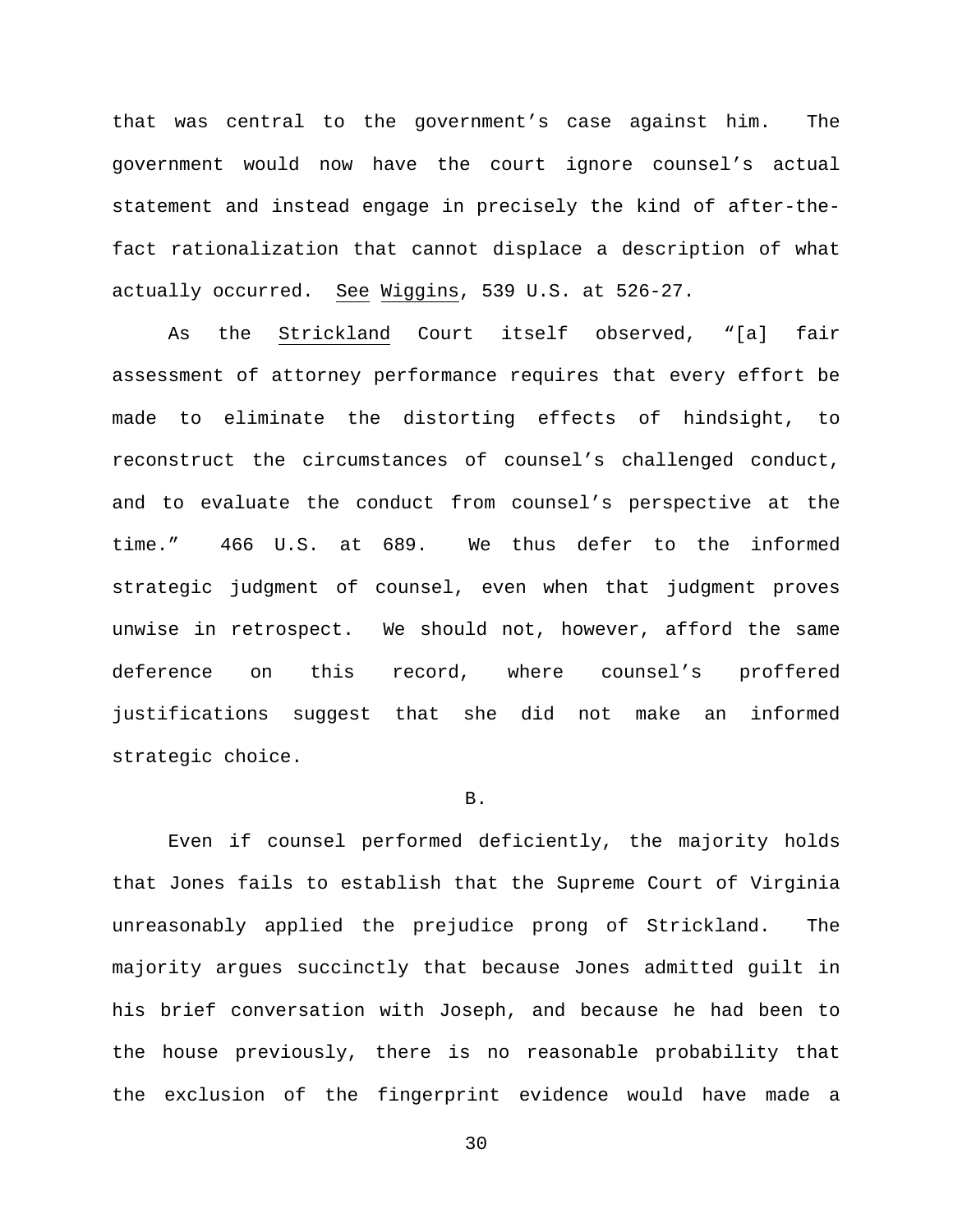that was central to the government's case against him. The government would now have the court ignore counsel's actual statement and instead engage in precisely the kind of after-thefact rationalization that cannot displace a description of what actually occurred. See Wiggins, 539 U.S. at 526-27.

As the Strickland Court itself observed, "[a] fair assessment of attorney performance requires that every effort be made to eliminate the distorting effects of hindsight, to reconstruct the circumstances of counsel's challenged conduct, and to evaluate the conduct from counsel's perspective at the time." 466 U.S. at 689. We thus defer to the informed strategic judgment of counsel, even when that judgment proves unwise in retrospect. We should not, however, afford the same deference on this record, where counsel's proffered justifications suggest that she did not make an informed strategic choice.

### B.

Even if counsel performed deficiently, the majority holds that Jones fails to establish that the Supreme Court of Virginia unreasonably applied the prejudice prong of Strickland. The majority argues succinctly that because Jones admitted guilt in his brief conversation with Joseph, and because he had been to the house previously, there is no reasonable probability that the exclusion of the fingerprint evidence would have made a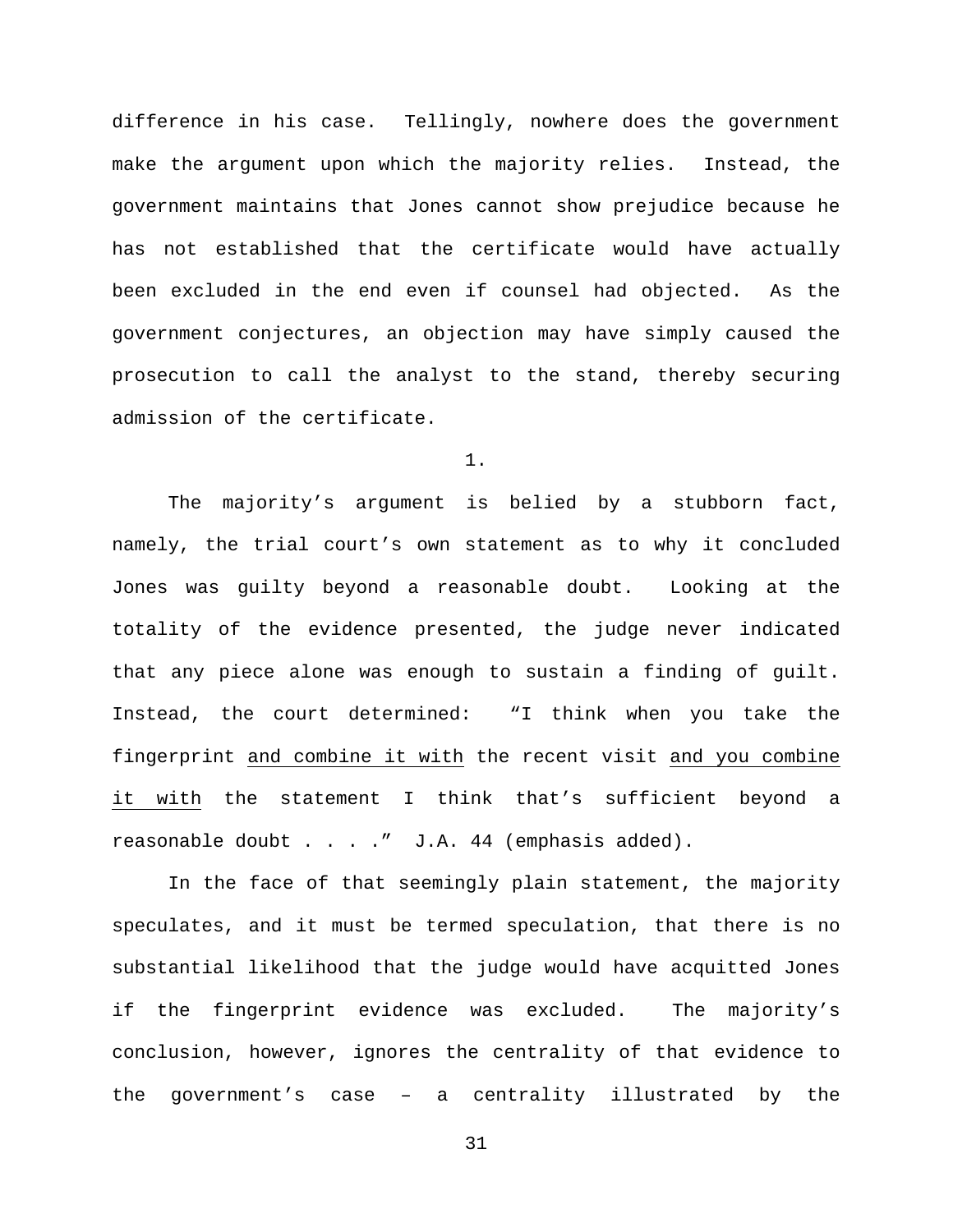difference in his case. Tellingly, nowhere does the government make the argument upon which the majority relies. Instead, the government maintains that Jones cannot show prejudice because he has not established that the certificate would have actually been excluded in the end even if counsel had objected. As the government conjectures, an objection may have simply caused the prosecution to call the analyst to the stand, thereby securing admission of the certificate.

1.

The majority's argument is belied by a stubborn fact, namely, the trial court's own statement as to why it concluded Jones was guilty beyond a reasonable doubt. Looking at the totality of the evidence presented, the judge never indicated that any piece alone was enough to sustain a finding of guilt. Instead, the court determined: "I think when you take the fingerprint and combine it with the recent visit and you combine it with the statement I think that's sufficient beyond a reasonable doubt . . . . " J.A. 44 (emphasis added).

In the face of that seemingly plain statement, the majority speculates, and it must be termed speculation, that there is no substantial likelihood that the judge would have acquitted Jones if the fingerprint evidence was excluded. The majority's conclusion, however, ignores the centrality of that evidence to the government's case – a centrality illustrated by the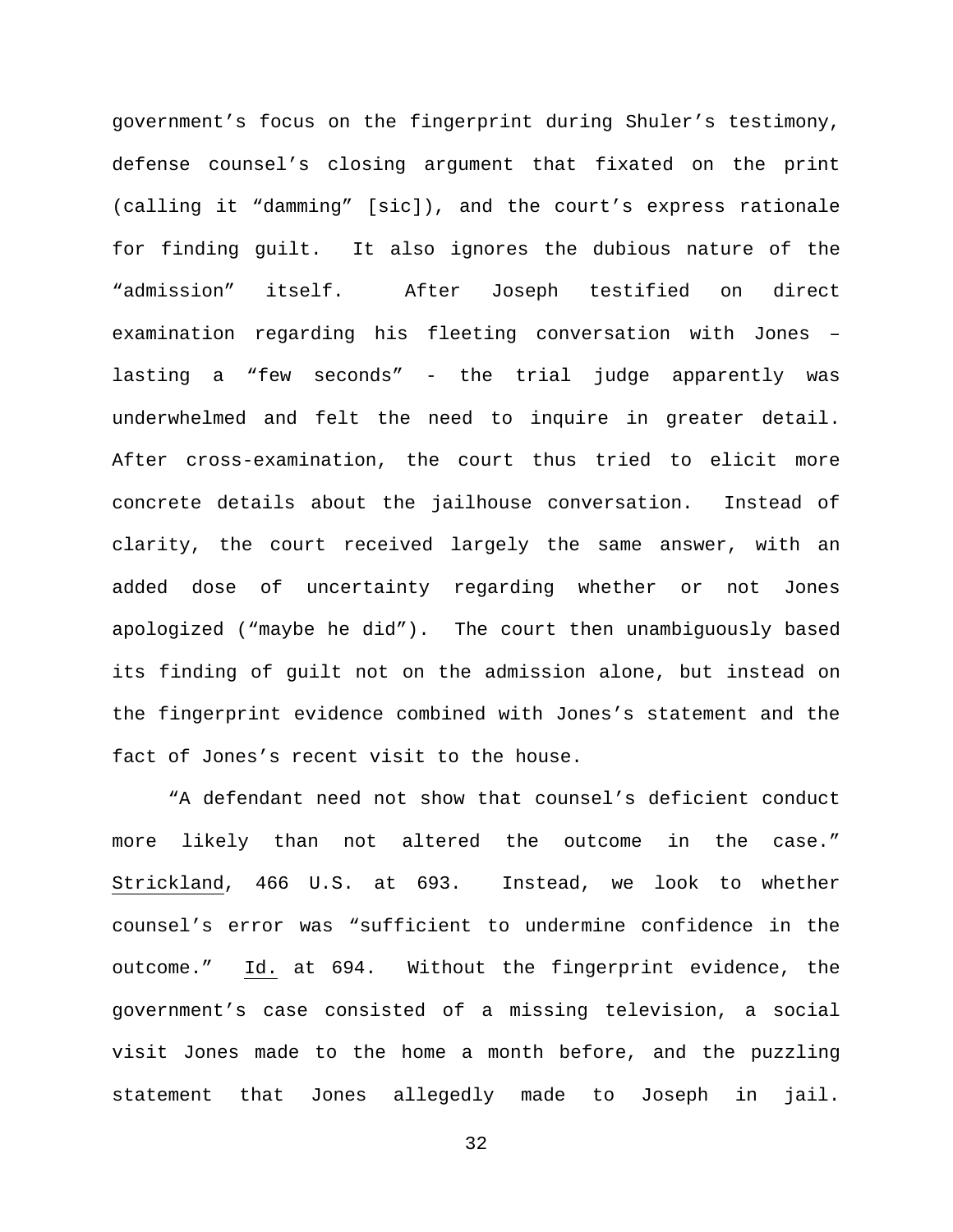government's focus on the fingerprint during Shuler's testimony, defense counsel's closing argument that fixated on the print (calling it "damming" [sic]), and the court's express rationale for finding guilt. It also ignores the dubious nature of the "admission" itself. After Joseph testified on direct examination regarding his fleeting conversation with Jones – lasting a "few seconds" - the trial judge apparently was underwhelmed and felt the need to inquire in greater detail. After cross-examination, the court thus tried to elicit more concrete details about the jailhouse conversation. Instead of clarity, the court received largely the same answer, with an added dose of uncertainty regarding whether or not Jones apologized ("maybe he did"). The court then unambiguously based its finding of guilt not on the admission alone, but instead on the fingerprint evidence combined with Jones's statement and the fact of Jones's recent visit to the house.

"A defendant need not show that counsel's deficient conduct more likely than not altered the outcome in the case." Strickland, 466 U.S. at 693. Instead, we look to whether counsel's error was "sufficient to undermine confidence in the outcome." Id. at 694. Without the fingerprint evidence, the government's case consisted of a missing television, a social visit Jones made to the home a month before, and the puzzling statement that Jones allegedly made to Joseph in jail.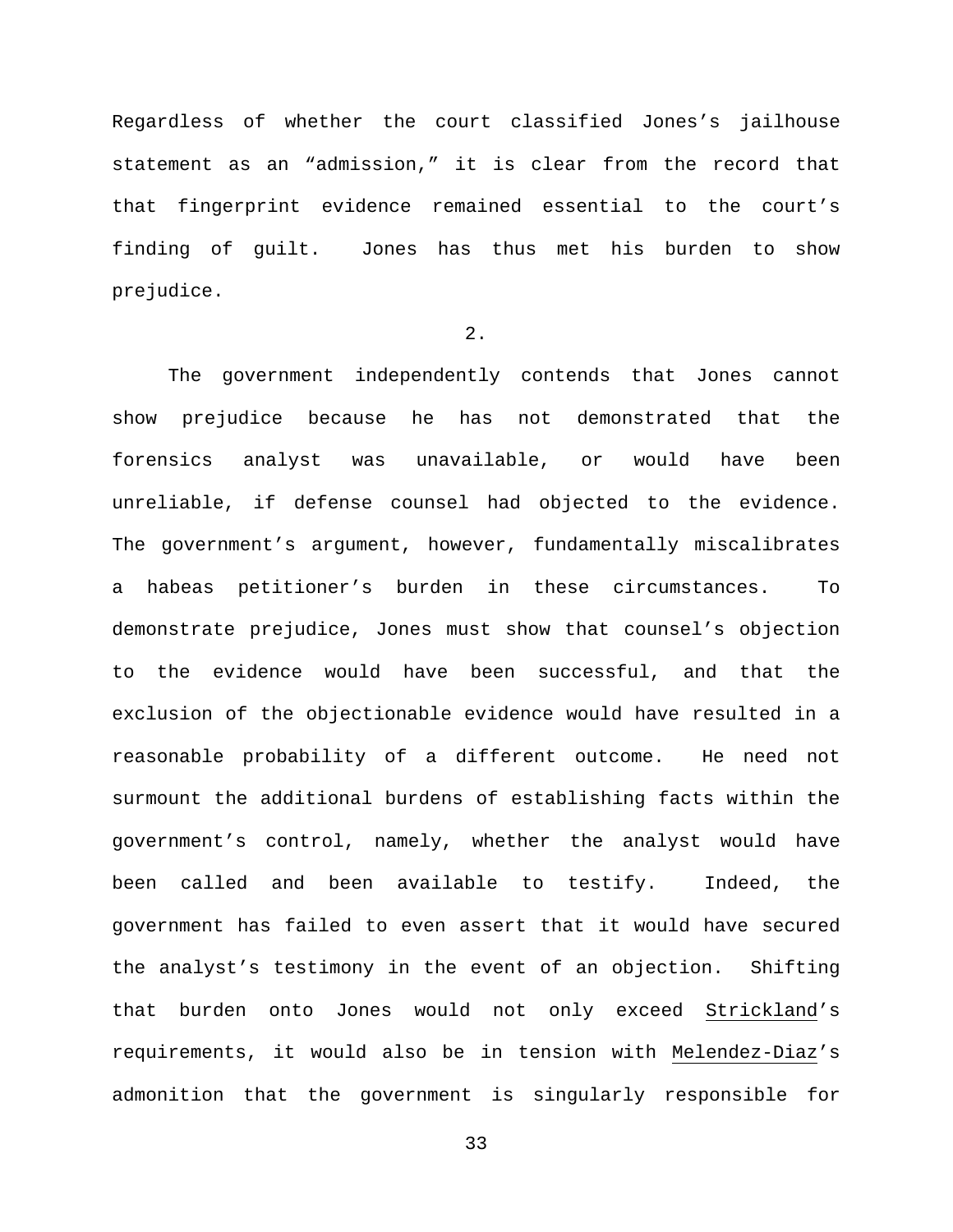Regardless of whether the court classified Jones's jailhouse statement as an "admission," it is clear from the record that that fingerprint evidence remained essential to the court's finding of guilt. Jones has thus met his burden to show prejudice.

## 2.

The government independently contends that Jones cannot show prejudice because he has not demonstrated that the forensics analyst was unavailable, or would have been unreliable, if defense counsel had objected to the evidence. The government's argument, however, fundamentally miscalibrates a habeas petitioner's burden in these circumstances. To demonstrate prejudice, Jones must show that counsel's objection to the evidence would have been successful, and that the exclusion of the objectionable evidence would have resulted in a reasonable probability of a different outcome. He need not surmount the additional burdens of establishing facts within the government's control, namely, whether the analyst would have been called and been available to testify. Indeed, the government has failed to even assert that it would have secured the analyst's testimony in the event of an objection. Shifting that burden onto Jones would not only exceed Strickland's requirements, it would also be in tension with Melendez-Diaz's admonition that the government is singularly responsible for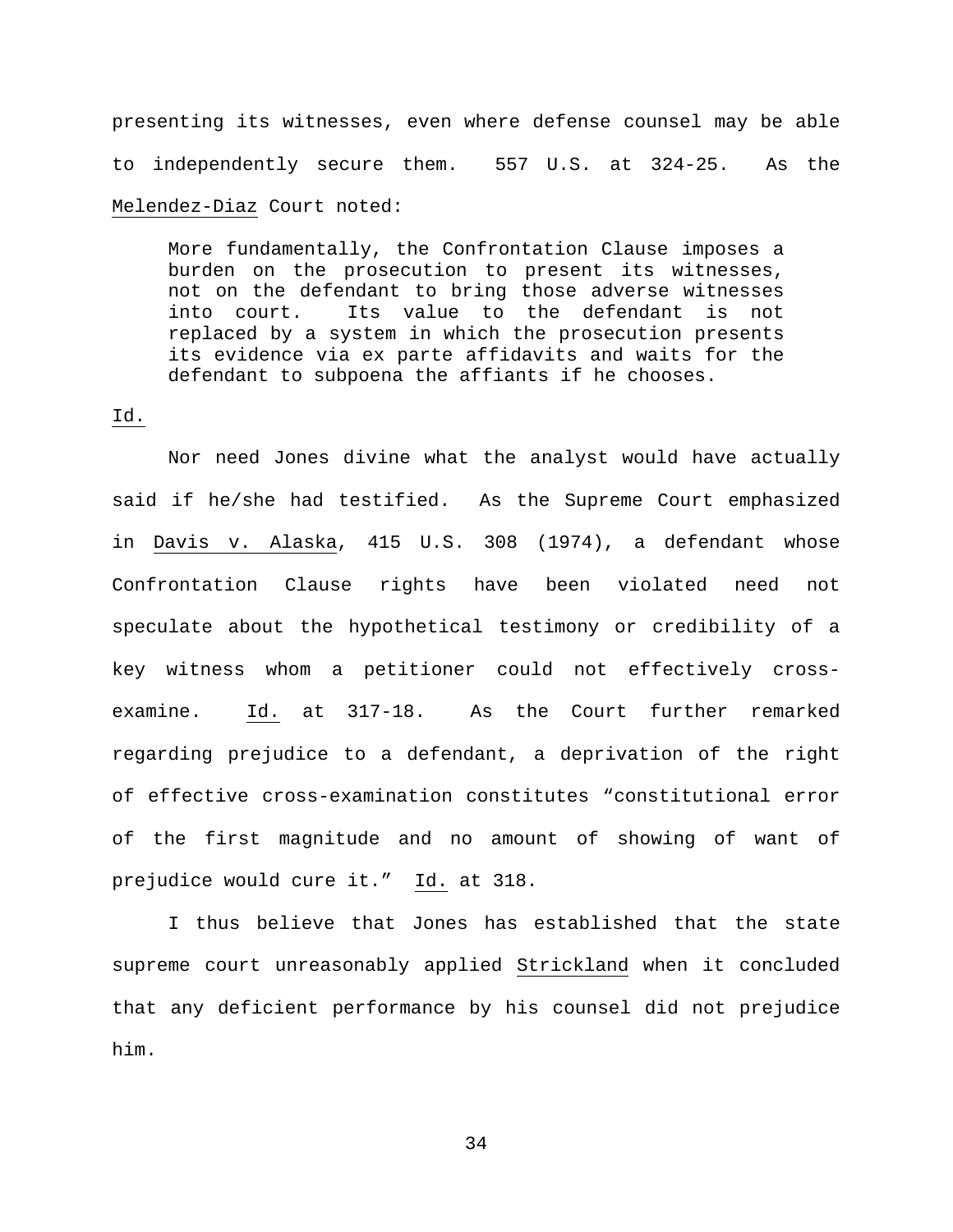presenting its witnesses, even where defense counsel may be able to independently secure them. 557 U.S. at 324-25. As the Melendez-Diaz Court noted:

More fundamentally, the Confrontation Clause imposes a burden on the prosecution to present its witnesses, not on the defendant to bring those adverse witnesses into court. Its value to the defendant is not replaced by a system in which the prosecution presents its evidence via ex parte affidavits and waits for the defendant to subpoena the affiants if he chooses.

## Id.

Nor need Jones divine what the analyst would have actually said if he/she had testified. As the Supreme Court emphasized in Davis v. Alaska, 415 U.S. 308 (1974), a defendant whose Confrontation Clause rights have been violated need not speculate about the hypothetical testimony or credibility of a key witness whom a petitioner could not effectively crossexamine. Id. at 317-18. As the Court further remarked regarding prejudice to a defendant, a deprivation of the right of effective cross-examination constitutes "constitutional error of the first magnitude and no amount of showing of want of prejudice would cure it." Id. at 318.

I thus believe that Jones has established that the state supreme court unreasonably applied Strickland when it concluded that any deficient performance by his counsel did not prejudice him.